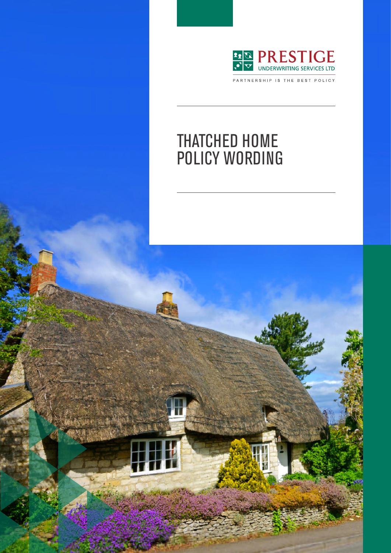

PARTNERSHIP IS THE BEST POLICY

# THATCHED HOME POLICY WORDING

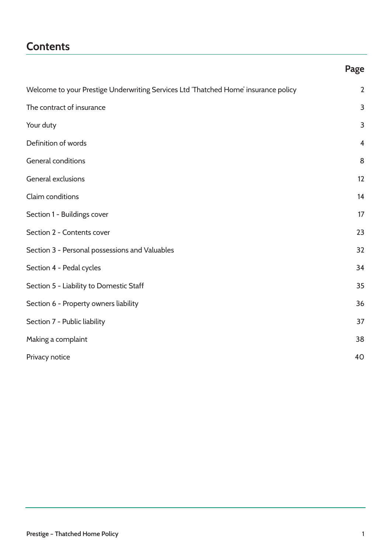## **Contents**

### **Page**

| Welcome to your Prestige Underwriting Services Ltd 'Thatched Home' insurance policy | $\overline{2}$ |
|-------------------------------------------------------------------------------------|----------------|
| The contract of insurance                                                           | 3              |
| Your duty                                                                           | 3              |
| Definition of words                                                                 | $\overline{4}$ |
| <b>General conditions</b>                                                           | 8              |
| General exclusions                                                                  | 12             |
| Claim conditions                                                                    | 14             |
| Section 1 - Buildings cover                                                         | 17             |
| Section 2 - Contents cover                                                          | 23             |
| Section 3 - Personal possessions and Valuables                                      | 32             |
| Section 4 - Pedal cycles                                                            | 34             |
| Section 5 - Liability to Domestic Staff                                             | 35             |
| Section 6 - Property owners liability                                               | 36             |
| Section 7 - Public liability                                                        | 37             |
| Making a complaint                                                                  | 38             |
| Privacy notice                                                                      | 40             |
|                                                                                     |                |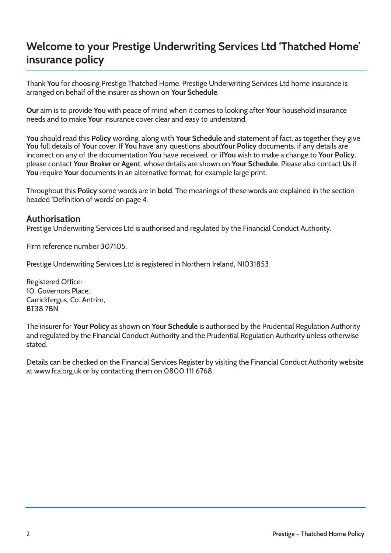## **Welcome to your Prestige Underwriting Services Ltd 'Thatched Home' insurance policy**

Thank **You** for choosing Prestige Thatched Home. Prestige Underwriting Services Ltd home insurance is arranged on behalf of the insurer as shown on **Your Schedule**.

**Our** aim is to provide **You** with peace of mind when it comes to looking after **Your** household insurance needs and to make **Your** insurance cover clear and easy to understand.

**You** should read this **Policy** wording, along with **Your Schedule** and statement of fact, as together they give **You** full details of **Your** cover. If **You** have any questions about **Your Policy** documents, if any details are incorrect on any of the documentation **You** have received, or if **You** wish to make a change to **Your Policy**, please contact **Your Broker or Agent**, whose details are shown on **Your Schedule**. Please also contact **Us** if **You** require **Your** documents in an alternative format, for example large print.

Throughout this **Policy** some words are in **bold**. The meanings of these words are explained in the section headed 'Definition of words' on page 4.

### **Authorisation**

Prestige Underwriting Services Ltd is authorised and regulated by the Financial Conduct Authority.

Firm reference number 307105.

Prestige Underwriting Services Ltd is registered in Northern Ireland, NI031853

Registered Office: 10, Governors Place, Carrickfergus, Co. Antrim, BT38 7BN

The insurer for **Your Policy** as shown on **Your Schedule** is authorised by the Prudential Regulation Authority and regulated by the Financial Conduct Authority and the Prudential Regulation Authority unless otherwise stated.

Details can be checked on the Financial Services Register by visiting the Financial Conduct Authority website at www.fca.org.uk or by contacting them on 0800 111 6768.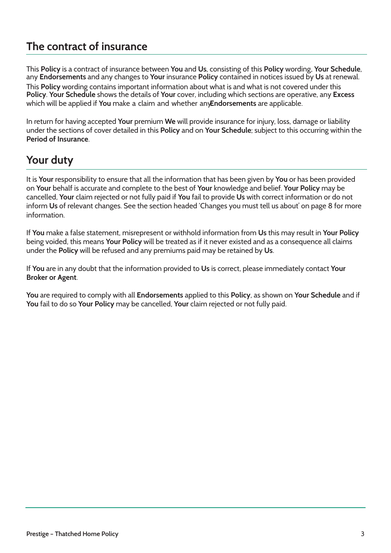## **The contract of insurance**

This **Policy** is a contract of insurance between **You** and **Us**, consisting of this **Policy** wording, **Your Schedule**, any **Endorsements** and any changes to **Your** insurance **Policy** contained in notices issued by **Us** at renewal.

This **Policy** wording contains important information about what is and what is not covered under this **Policy**. **Your Schedule** shows the details of **Your** cover, including which sections are operative, any **Excess** which will be applied if **You** make a claim and whether any **Endorsements** are applicable.

In return for having accepted **Your** premium **We** will provide insurance for injury, loss, damage or liability under the sections of cover detailed in this **Policy** and on **Your Schedule**; subject to this occurring within the **Period of Insurance**.

## **Your duty**

It is **Your** responsibility to ensure that all the information that has been given by **You** or has been provided on **Your** behalf is accurate and complete to the best of **Your** knowledge and belief. **Your Policy** may be cancelled, **Your** claim rejected or not fully paid if **You** fail to provide **Us** with correct information or do not inform **Us** of relevant changes. See the section headed 'Changes you must tell us about' on page 8 for more information.

If **You** make a false statement, misrepresent or withhold information from **Us** this may result in **Your Policy** being voided, this means **Your Policy** will be treated as if it never existed and as a consequence all claims under the **Policy** will be refused and any premiums paid may be retained by **Us**.

If **You** are in any doubt that the information provided to **Us** is correct, please immediately contact **Your Broker or Agent**.

**You** are required to comply with all **Endorsements** applied to this **Policy**, as shown on **Your Schedule** and if **You** fail to do so **Your Policy** may be cancelled, **Your** claim rejected or not fully paid.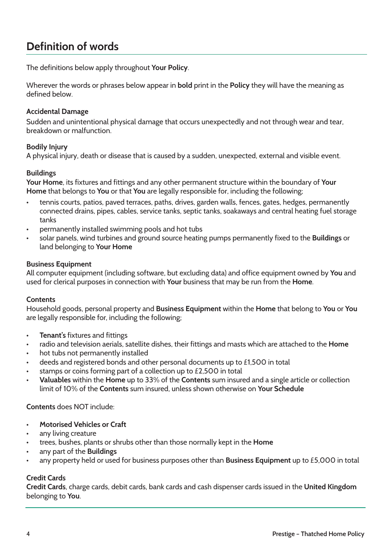## **Definition of words**

The definitions below apply throughout **Your Policy**.

Wherever the words or phrases below appear in **bold** print in the **Policy** they will have the meaning as defined below.

### **Accidental Damage**

Sudden and unintentional physical damage that occurs unexpectedly and not through wear and tear, breakdown or malfunction.

#### **Bodily Injury**

A physical injury, death or disease that is caused by a sudden, unexpected, external and visible event.

#### **Buildings**

**Your Home**, its fixtures and fittings and any other permanent structure within the boundary of **Your Home** that belongs to **You** or that **You** are legally responsible for, including the following;

- tennis courts, patios, paved terraces, paths, drives, garden walls, fences, gates, hedges, permanently connected drains, pipes, cables, service tanks, septic tanks, soakaways and central heating fuel storage tanks
- permanently installed swimming pools and hot tubs
- solar panels, wind turbines and ground source heating pumps permanently fixed to the **Buildings** or land belonging to **Your Home**

#### **Business Equipment**

All computer equipment (including software, but excluding data) and office equipment owned by **You** and used for clerical purposes in connection with **Your** business that may be run from the **Home**.

#### **Contents**

Household goods, personal property and **Business Equipment** within the **Home** that belong to **You** or **You** are legally responsible for, including the following;

- **Tenant's** fixtures and fittings
- radio and television aerials, satellite dishes, their fittings and masts which are attached to the **Home**
- hot tubs not permanently installed
- deeds and registered bonds and other personal documents up to £1,500 in total
- stamps or coins forming part of a collection up to £2,500 in total
- **Valuables** within the **Home** up to 33% of the **Contents** sum insured and a single article or collection limit of 10% of the **Contents** sum insured, unless shown otherwise on **Your Schedule**

**Contents** does NOT include:

- **Motorised Vehicles or Craft**
- any living creature
- trees, bushes, plants or shrubs other than those normally kept in the **Home**
- any part of the **Buildings**
- any property held or used for business purposes other than **Business Equipment** up to £5,000 in total

#### **Credit Cards**

**Credit Cards**, charge cards, debit cards, bank cards and cash dispenser cards issued in the **United Kingdom** belonging to **You**.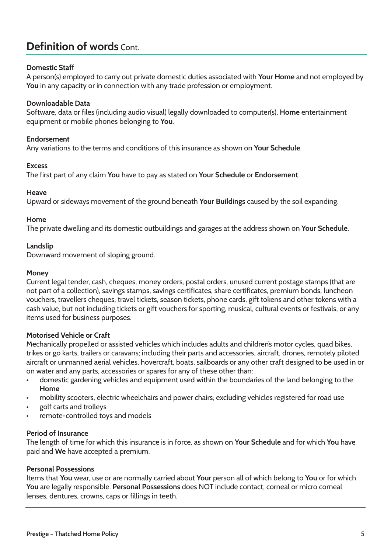## **Definition of words** Cont.

### **Domestic Staff**

A person(s) employed to carry out private domestic duties associated with **Your Home** and not employed by **You** in any capacity or in connection with any trade profession or employment.

### **Downloadable Data**

Software, data or files (including audio visual) legally downloaded to computer(s), **Home** entertainment equipment or mobile phones belonging to **You**.

### **Endorsement**

Any variations to the terms and conditions of this insurance as shown on **Your Schedule**.

#### **Excess**

The first part of any claim **You** have to pay as stated on **Your Schedule** or **Endorsement**.

#### **Heave**

Upward or sideways movement of the ground beneath **Your Buildings** caused by the soil expanding.

#### **Home**

The private dwelling and its domestic outbuildings and garages at the address shown on **Your Schedule**.

### **Landslip**

Downward movement of sloping ground.

#### **Money**

Current legal tender, cash, cheques, money orders, postal orders, unused current postage stamps (that are not part of a collection), savings stamps, savings certificates, share certificates, premium bonds, luncheon vouchers, travellers cheques, travel tickets, season tickets, phone cards, gift tokens and other tokens with a cash value, but not including tickets or gift vouchers for sporting, musical, cultural events or festivals, or any items used for business purposes.

### **Motorised Vehicle or Craft**

Mechanically propelled or assisted vehicles which includes adults and children's motor cycles, quad bikes, trikes or go karts, trailers or caravans; including their parts and accessories, aircraft, drones, remotely piloted aircraft or unmanned aerial vehicles, hovercraft, boats, sailboards or any other craft designed to be used in or on water and any parts, accessories or spares for any of these other than:

- domestic gardening vehicles and equipment used within the boundaries of the land belonging to the **Home**
- mobility scooters, electric wheelchairs and power chairs; excluding vehicles registered for road use
- golf carts and trolleys
- remote-controlled toys and models

#### **Period of Insurance**

The length of time for which this insurance is in force, as shown on **Your Schedule** and for which **You** have paid and **We** have accepted a premium.

#### **Personal Possessions**

Items that **You** wear, use or are normally carried about **Your** person all of which belong to **You** or for which **You** are legally responsible. **Personal Possessions** does NOT include contact, corneal or micro corneal lenses, dentures, crowns, caps or fillings in teeth.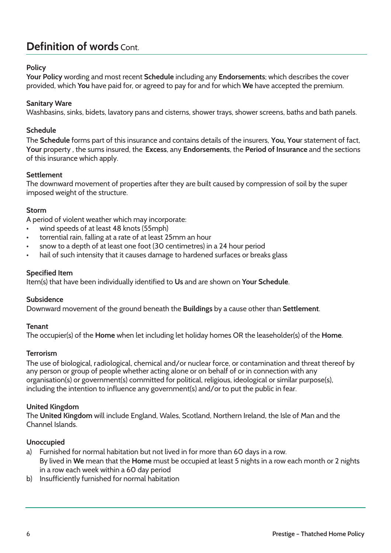## **Definition of words** Cont.

### **Policy**

**Your Policy** wording and most recent **Schedule** including any **Endorsements**; which describes the cover provided, which **You** have paid for, or agreed to pay for and for which **We** have accepted the premium.

#### **Sanitary Ware**

Washbasins, sinks, bidets, lavatory pans and cisterns, shower trays, shower screens, baths and bath panels.

#### **Schedule**

The **Schedule** forms part of this insurance and contains details of the insurers, **You, You**r statement of fact, **Your** property , the sums insured, the **Excess**, any **Endorsements**, the **Period of Insurance** and the sections of this insurance which apply.

#### **Settlement**

The downward movement of properties after they are built caused by compression of soil by the super imposed weight of the structure.

#### **Storm**

A period of violent weather which may incorporate:

- wind speeds of at least 48 knots (55mph)
- torrential rain, falling at a rate of at least 25mm an hour
- snow to a depth of at least one foot (30 centimetres) in a 24 hour period
- hail of such intensity that it causes damage to hardened surfaces or breaks glass

#### **Specified Item**

Item(s) that have been individually identified to **Us** and are shown on **Your Schedule**.

### **Subsidence**

Downward movement of the ground beneath the **Buildings** by a cause other than **Settlement**.

#### **Tenant**

The occupier(s) of the **Home** when let including let holiday homes OR the leaseholder(s) of the **Home**.

#### **Terrorism**

The use of biological, radiological, chemical and/or nuclear force, or contamination and threat thereof by any person or group of people whether acting alone or on behalf of or in connection with any organisation(s) or government(s) committed for political, religious, ideological or similar purpose(s), including the intention to influence any government(s) and/or to put the public in fear.

#### **United Kingdom**

The **United Kingdom** will include England, Wales, Scotland, Northern Ireland, the Isle of Man and the Channel Islands.

### **Unoccupied**

- a) Furnished for normal habitation but not lived in for more than 60 days in a row. By lived in **We** mean that the **Home** must be occupied at least 5 nights in a row each month or 2 nights in a row each week within a 60 day period
- b) Insufficiently furnished for normal habitation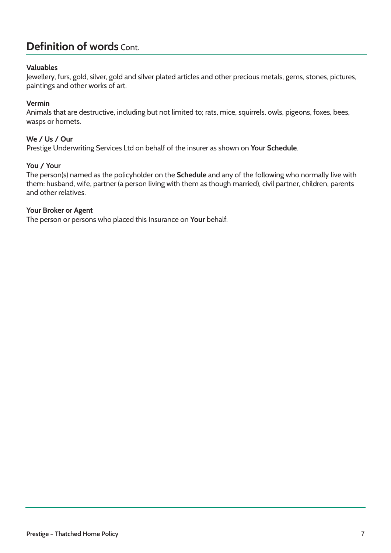## **Definition of words** Cont.

### **Valuables**

Jewellery, furs, gold, silver, gold and silver plated articles and other precious metals, gems, stones, pictures, paintings and other works of art.

#### **Vermin**

Animals that are destructive, including but not limited to; rats, mice, squirrels, owls, pigeons, foxes, bees, wasps or hornets.

#### **We / Us / Our**

Prestige Underwriting Services Ltd on behalf of the insurer as shown on **Your Schedule**.

#### **You / Your**

The person(s) named as the policyholder on the **Schedule** and any of the following who normally live with them: husband, wife, partner (a person living with them as though married), civil partner, children, parents and other relatives.

#### **Your Broker or Agent**

The person or persons who placed this Insurance on **Your** behalf.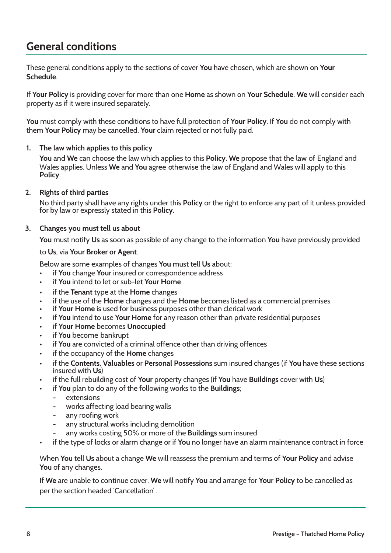## **General conditions**

These general conditions apply to the sections of cover **You** have chosen, which are shown on **Your Schedule**.

If **Your Policy** is providing cover for more than one **Home** as shown on **Your Schedule**, **We** will consider each property as if it were insured separately.

**You** must comply with these conditions to have full protection of **Your Policy**. If **You** do not comply with them **Your Policy** may be cancelled, **Your** claim rejected or not fully paid.

#### **1. The law which applies to this policy**

**You** and **We** can choose the law which applies to this **Policy**. **We** propose that the law of England and Wales applies. Unless **We** and **You** agree otherwise the law of England and Wales will apply to this **Policy**.

#### **2. Rights of third parties**

No third party shall have any rights under this **Policy** or the right to enforce any part of it unless provided for by law or expressly stated in this **Policy**.

#### **3. Changes you must tell us about**

**You** must notify **Us** as soon as possible of any change to the information **You** have previously provided

#### to **Us**, via **Your Broker or Agent**.

Below are some examples of changes **You** must tell **Us** about:

- if **You** change **Your** insured or correspondence address
- if **You** intend to let or sub-let **Your Home**
- if the **Tenant** type at the **Home** changes
- if the use of the **Home** changes and the **Home** becomes listed as a commercial premises
- if **Your Home** is used for business purposes other than clerical work
- if **You** intend to use **Your Home** for any reason other than private residential purposes
- if **Your Home** becomes **Unoccupied**
- if **You** become bankrupt
- if **You** are convicted of a criminal offence other than driving offences
- if the occupancy of the **Home** changes
- if the **Contents**, **Valuables** or **Personal Possessions** sum insured changes (if **You** have these sections insured with **Us**)
- if the full rebuilding cost of **Your** property changes (if **You** have **Buildings** cover with **Us**)
- if **You** plan to do any of the following works to the **Buildings**;
	- extensions
	- works affecting load bearing walls
	- any roofing work
	- any structural works including demolition
	- any works costing 50% or more of the **Buildings** sum insured
- if the type of locks or alarm change or if **You** no longer have an alarm maintenance contract in force

When **You** tell **Us** about a change **We** will reassess the premium and terms of **Your Policy** and advise **You** of any changes.

If **We** are unable to continue cover, **We** will notify **You** and arrange for **Your Policy** to be cancelled as per the section headed 'Cancellation' .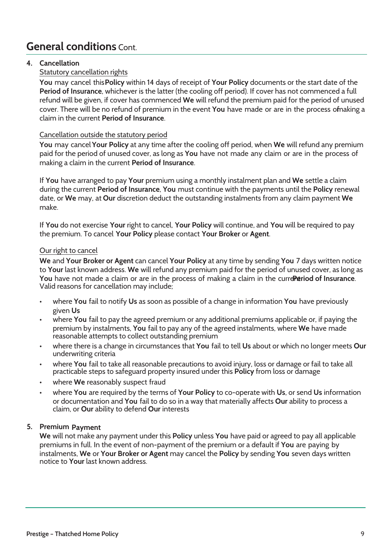## **General conditions** Cont.

### **4. Cancellation**

### Statutory cancellation rights

**You** may cancel this **Policy** within 14 days of receipt of **Your Policy** documents or the start date of the **Period of Insurance**, whichever is the latter (the cooling off period). If cover has not commenced a full refund will be given, if cover has commenced **We** will refund the premium paid for the period of unused cover. There will be no refund of premium in the event **You** have made or are in the process of naking a claim in the current **Period of Insurance**.

### Cancellation outside the statutory period

**You** may cancel **Your Policy** at any time after the cooling off period, when **We** will refund any premium paid for the period of unused cover, as long as **You** have not made any claim or are in the process of making a claim in the current **Period of Insurance**.

If **You** have arranged to pay **Your** premium using a monthly instalment plan and **We** settle a claim during the current **Period of Insurance**, **You** must continue with the payments until the **Policy** renewal date, or **We** may, at **Our** discretion deduct the outstanding instalments from any claim payment **We** make.

If **You** do not exercise **Your** right to cancel, **Your Policy** will continue, and **You** will be required to pay the premium. To cancel **Your Policy** please contact **Your Broker** or **Agent**.

### Our right to cancel

**We** and **Your Broker or Agent** can cancel **Your Policy** at any time by sending **You** 7 days written notice to **Your** last known address. **We** will refund any premium paid for the period of unused cover, as long as You have not made a claim or are in the process of making a claim in the curre **Petriod of Insurance**. Valid reasons for cancellation may include;

- where **You** fail to notify **Us** as soon as possible of a change in information **You** have previously given **Us**
- where **You** fail to pay the agreed premium or any additional premiums applicable or, if paying the premium by instalments, **You** fail to pay any of the agreed instalments, where **We** have made reasonable attempts to collect outstanding premium
- where there is a change in circumstances that **You** fail to tell **Us** about or which no longer meets **Our** underwriting criteria
- where **You** fail to take all reasonable precautions to avoid injury, loss or damage or fail to take all practicable steps to safeguard property insured under this **Policy** from loss or damage
- where We reasonably suspect fraud
- where **You** are required by the terms of **Your Policy** to co-operate with **Us**, or send **Us** information or documentation and **You** fail to do so in a way that materially affects **Our** ability to process a claim, or **Our** ability to defend **Our** interests

### **5. Premium Payment**

**We** will not make any payment under this **Policy** unless **You** have paid or agreed to pay all applicable premiums in full. In the event of non-payment of the premium or a default if **You** are paying by instalments, **We** or **Your Broker or Agent** may cancel the **Policy** by sending **You** seven days written notice to **Your** last known address.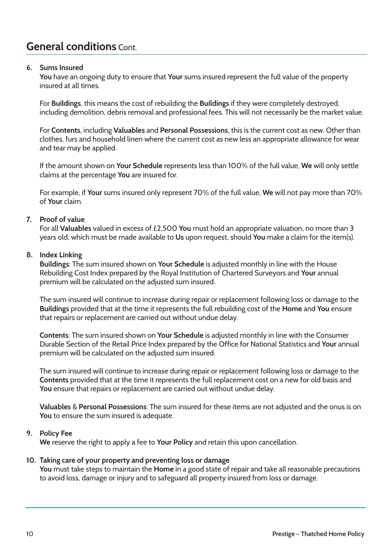## **General conditions** Cont.

### **6. Sums Insured**

**You** have an ongoing duty to ensure that **Your** sums insured represent the full value of the property insured at all times.

For **Buildings**, this means the cost of rebuilding the **Buildings** if they were completely destroyed, including demolition, debris removal and professional fees. This will not necessarily be the market value.

For **Contents**, including **Valuables** and **Personal Possessions**, this is the current cost as new. Other than clothes, furs and household linen where the current cost as new less an appropriate allowance for wear and tear may be applied.

If the amount shown on **Your Schedule** represents less than 100% of the full value, **We** will only settle claims at the percentage **You** are insured for.

For example, if **Your** sums insured only represent 70% of the full value, **We** will not pay more than 70% of **Your** claim.

#### **7. Proof of value**

For all **Valuables** valued in excess of £2,500 **You** must hold an appropriate valuation, no more than 3 years old, which must be made available to **Us** upon request, should **You** make a claim for the item(s).

#### **8. Index Linking**

**Buildings**: The sum insured shown on **Your Schedule** is adjusted monthly in line with the House Rebuilding Cost Index prepared by the Royal Institution of Chartered Surveyors and **Your** annual premium will be calculated on the adjusted sum insured.

The sum insured will continue to increase during repair or replacement following loss or damage to the **Buildings** provided that at the time it represents the full rebuilding cost of the **Home** and **You** ensure that repairs or replacement are carried out without undue delay.

**Contents**: The sum insured shown on **Your Schedule** is adjusted monthly in line with the Consumer Durable Section of the Retail Price Index prepared by the Office for National Statistics and **Your** annual premium will be calculated on the adjusted sum insured.

The sum insured will continue to increase during repair or replacement following loss or damage to the **Contents** provided that at the time it represents the full replacement cost on a new for old basis and **You** ensure that repairs or replacement are carried out without undue delay.

**Valuables** & **Personal Possessions**: The sum insured for these items are not adjusted and the onus is on **You** to ensure the sum insured is adequate.

#### **9. Policy Fee**

**We** reserve the right to apply a fee to **Your Policy** and retain this upon cancellation.

#### **10. Taking care of your property and preventing loss or damage**

**You** must take steps to maintain the **Home** in a good state of repair and take all reasonable precautions to avoid loss, damage or injury and to safeguard all property insured from loss or damage.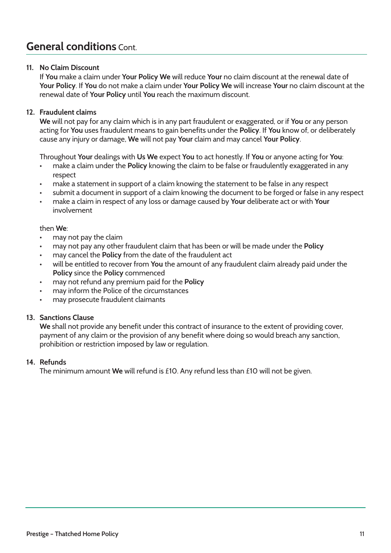## **General conditions** Cont.

### **11. No Claim Discount**

If **You** make a claim under **Your Policy We** will reduce **Your** no claim discount at the renewal date of **Your Policy**. If **You** do not make a claim under **Your Policy We** will increase **Your** no claim discount at the renewal date of **Your Policy** until **You** reach the maximum discount.

### **12. Fraudulent claims**

**We** will not pay for any claim which is in any part fraudulent or exaggerated, or if **You** or any person acting for **You** uses fraudulent means to gain benefits under the **Policy**. If **You** know of, or deliberately cause any injury or damage, **We** will not pay **Your** claim and may cancel **Your Policy**.

Throughout **Your** dealings with **Us We** expect **You** to act honestly. If **You** or anyone acting for **You**:

- make a claim under the **Policy** knowing the claim to be false or fraudulently exaggerated in any respect
- make a statement in support of a claim knowing the statement to be false in any respect
- submit a document in support of a claim knowing the document to be forged or false in any respect
- make a claim in respect of any loss or damage caused by **Your** deliberate act or with **Your** involvement

#### then **We**:

- may not pay the claim
- may not pay any other fraudulent claim that has been or will be made under the **Policy**
- may cancel the **Policy** from the date of the fraudulent act
- will be entitled to recover from **You** the amount of any fraudulent claim already paid under the **Policy** since the **Policy** commenced
- may not refund any premium paid for the **Policy**
- may inform the Police of the circumstances
- may prosecute fraudulent claimants

### **13. Sanctions Clause**

**We** shall not provide any benefit under this contract of insurance to the extent of providing cover, payment of any claim or the provision of any benefit where doing so would breach any sanction, prohibition or restriction imposed by law or regulation.

#### **14. Refunds**

The minimum amount **We** will refund is £10. Any refund less than £10 will not be given.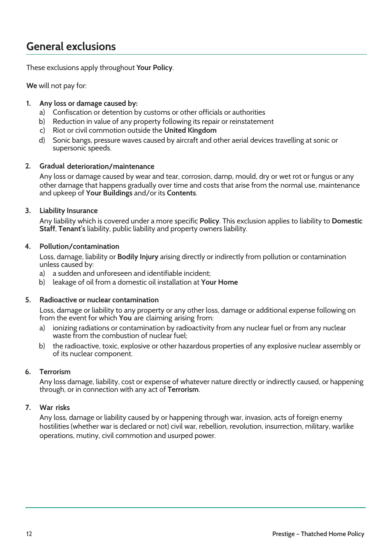## **General exclusions**

These exclusions apply throughout **Your Policy**.

**We** will not pay for:

### **1. Any loss or damage caused by:**

- a) Confiscation or detention by customs or other officials or authorities
- b) Reduction in value of any property following its repair or reinstatement
- c) Riot or civil commotion outside the **United Kingdom**
- d) Sonic bangs, pressure waves caused by aircraft and other aerial devices travelling at sonic or supersonic speeds.

### **2. Gradual deterioration/maintenance**

Any loss or damage caused by wear and tear, corrosion, damp, mould, dry or wet rot or fungus or any other damage that happens gradually over time and costs that arise from the normal use, maintenance and upkeep of **Your Buildings** and/or its **Contents**.

### **3. Liability Insurance**

Any liability which is covered under a more specific **Policy**. This exclusion applies to liability to **Domestic Staff**, **Tenant's** liability, public liability and property owners liability.

### **4. Pollution/contamination**

Loss, damage, liability or **Bodily Injury** arising directly or indirectly from pollution or contamination unless caused by:

- a) a sudden and unforeseen and identifiable incident;
- b) leakage of oil from a domestic oil installation at **Your Home**

### **5. Radioactive or nuclear contamination**

Loss, damage or liability to any property or any other loss, damage or additional expense following on from the event for which **You** are claiming arising from:

- a) ionizing radiations or contamination by radioactivity from any nuclear fuel or from any nuclear waste from the combustion of nuclear fuel;
- b) the radioactive, toxic, explosive or other hazardous properties of any explosive nuclear assembly or of its nuclear component.

### **6. Terrorism**

Any loss damage, liability, cost or expense of whatever nature directly or indirectly caused, or happening through, or in connection with any act of **Terrorism**.

### **7. War risks**

Any loss, damage or liability caused by or happening through war, invasion, acts of foreign enemy hostilities (whether war is declared or not) civil war, rebellion, revolution, insurrection, military, warlike operations, mutiny, civil commotion and usurped power.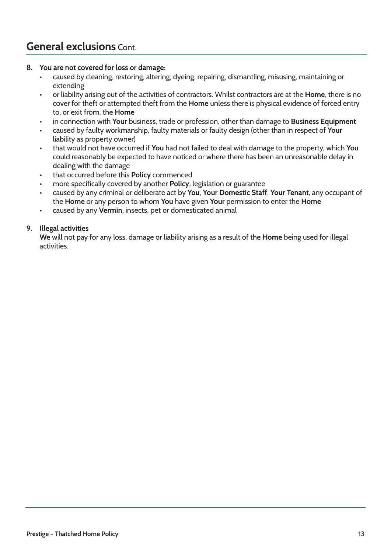## **General exclusions** Cont.

### **8. You are not covered for loss or damage:**

- caused by cleaning, restoring, altering, dyeing, repairing, dismantling, misusing, maintaining or extending
- or liability arising out of the activities of contractors. Whilst contractors are at the **Home**, there is no cover for theft or attempted theft from the **Home** unless there is physical evidence of forced entry to, or exit from, the **Home**
- in connection with **Your** business, trade or profession, other than damage to **Business Equipment**
- caused by faulty workmanship, faulty materials or faulty design (other than in respect of **Your** liability as property owner)
- that would not have occurred if **You** had not failed to deal with damage to the property, which **You** could reasonably be expected to have noticed or where there has been an unreasonable delay in dealing with the damage
- that occurred before this **Policy** commenced
- more specifically covered by another **Policy**, legislation or guarantee
- caused by any criminal or deliberate act by **You**, **Your Domestic Staff**, **Your Tenant**, any occupant of the **Home** or any person to whom **You** have given **Your** permission to enter the **Home**
- caused by any **Vermin**, insects, pet or domesticated animal

### **9. Illegal activities**

**We** will not pay for any loss, damage or liability arising as a result of the **Home** being used for illegal activities.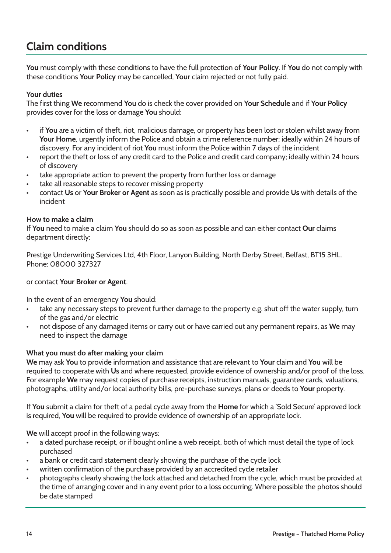## **Claim conditions**

**You** must comply with these conditions to have the full protection of **Your Policy**. If **You** do not comply with these conditions **Your Policy** may be cancelled, **Your** claim rejected or not fully paid.

### **Your duties**

The first thing **We** recommend **You** do is check the cover provided on **Your Schedule** and if **Your Policy** provides cover for the loss or damage **You** should:

- if **You** are a victim of theft, riot, malicious damage, or property has been lost or stolen whilst away from **Your Home**, urgently inform the Police and obtain a crime reference number; ideally within 24 hours of discovery. For any incident of riot **You** must inform the Police within 7 days of the incident
- report the theft or loss of any credit card to the Police and credit card company; ideally within 24 hours of discovery
- take appropriate action to prevent the property from further loss or damage
- take all reasonable steps to recover missing property
- contact **Us** or **Your Broker or Agent** as soon as is practically possible and provide **Us** with details of the incident

#### **How to make a claim**

If **You** need to make a claim **You** should do so as soon as possible and can either contact **Our** claims department directly:

Prestige Underwriting Services Ltd, 4th Floor, Lanyon Building, North Derby Street, Belfast, BT15 3HL. Phone: 08000 327327

### or contact **Your Broker or Agent**.

In the event of an emergency **You** should:

- take any necessary steps to prevent further damage to the property e.g. shut off the water supply, turn of the gas and/or electric
- not dispose of any damaged items or carry out or have carried out any permanent repairs, as **We** may need to inspect the damage

### **What you must do after making your claim**

**We** may ask **You** to provide information and assistance that are relevant to **Your** claim and **You** will be required to cooperate with **Us** and where requested, provide evidence of ownership and/or proof of the loss. For example **We** may request copies of purchase receipts, instruction manuals, guarantee cards, valuations, photographs, utility and/or local authority bills, pre-purchase surveys, plans or deeds to **Your** property.

If **You** submit a claim for theft of a pedal cycle away from the **Home** for which a 'Sold Secure' approved lock is required, **You** will be required to provide evidence of ownership of an appropriate lock.

**We** will accept proof in the following ways:

- a dated purchase receipt, or if bought online a web receipt, both of which must detail the type of lock purchased
- a bank or credit card statement clearly showing the purchase of the cycle lock
- written confirmation of the purchase provided by an accredited cycle retailer
- photographs clearly showing the lock attached and detached from the cycle, which must be provided at the time of arranging cover and in any event prior to a loss occurring. Where possible the photos should be date stamped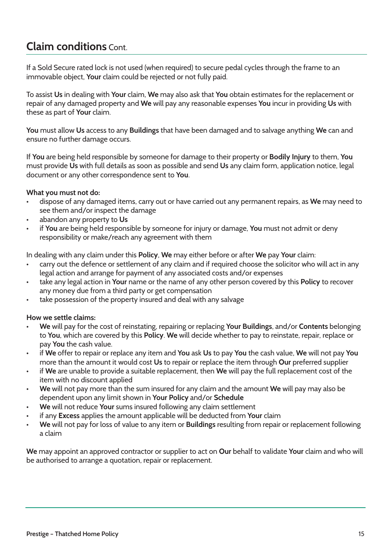## **Claim conditions** Cont.

If a Sold Secure rated lock is not used (when required) to secure pedal cycles through the frame to an immovable object, **Your** claim could be rejected or not fully paid.

To assist **Us** in dealing with **Your** claim, **We** may also ask that **You** obtain estimates for the replacement or repair of any damaged property and **We** will pay any reasonable expenses **You** incur in providing **Us** with these as part of **Your** claim.

**You** must allow **Us** access to any **Buildings** that have been damaged and to salvage anything **We** can and ensure no further damage occurs.

If **You** are being held responsible by someone for damage to their property or **Bodily Injury** to them, **You** must provide **Us** with full details as soon as possible and send **Us** any claim form, application notice, legal document or any other correspondence sent to **You**.

### **What you must not do:**

- dispose of any damaged items, carry out or have carried out any permanent repairs, as **We** may need to see them and/or inspect the damage
- abandon any property to **Us**
- if **You** are being held responsible by someone for injury or damage, **You** must not admit or deny responsibility or make/reach any agreement with them

In dealing with any claim under this **Policy**, **We** may either before or after **We** pay **Your** claim:

- carry out the defence or settlement of any claim and if required choose the solicitor who will act in any legal action and arrange for payment of any associated costs and/or expenses
- take any legal action in **Your** name or the name of any other person covered by this **Policy** to recover any money due from a third party or get compensation
- take possession of the property insured and deal with any salvage

### **How we settle claims:**

- **We** will pay for the cost of reinstating, repairing or replacing **Your Buildings**, and/or **Contents** belonging to **You**, which are covered by this **Policy**. **We** will decide whether to pay to reinstate, repair, replace or pay **You** the cash value.
- if **We** offer to repair or replace any item and **You** ask **Us** to pay **You** the cash value, **We** will not pay **You** more than the amount it would cost **Us** to repair or replace the item through **Our** preferred supplier
- if **We** are unable to provide a suitable replacement, then **We** will pay the full replacement cost of the item with no discount applied
- **We** will not pay more than the sum insured for any claim and the amount **We** will pay may also be dependent upon any limit shown in **Your Policy** and/or **Schedule**
- **We** will not reduce **Your** sums insured following any claim settlement
- if any **Excess** applies the amount applicable will be deducted from **Your** claim
- **We** will not pay for loss of value to any item or **Buildings** resulting from repair or replacement following a claim

**We** may appoint an approved contractor or supplier to act on **Our** behalf to validate **Your** claim and who will be authorised to arrange a quotation, repair or replacement.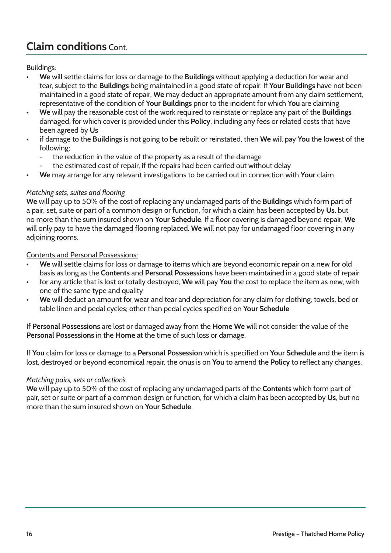## **Claim conditions** Cont.

### Buildings:

- **We** will settle claims for loss or damage to the **Buildings** without applying a deduction for wear and tear, subject to the **Buildings** being maintained in a good state of repair. If **Your Buildings** have not been maintained in a good state of repair, **We** may deduct an appropriate amount from any claim settlement, representative of the condition of **Your Buildings** prior to the incident for which **You** are claiming
- **We** will pay the reasonable cost of the work required to reinstate or replace any part of the **Buildings** damaged, for which cover is provided under this **Policy**, including any fees or related costs that have been agreed by **Us**
- if damage to the **Buildings** is not going to be rebuilt or reinstated, then **We** will pay **You** the lowest of the following;
	- the reduction in the value of the property as a result of the damage
	- the estimated cost of repair, if the repairs had been carried out without delay
- **We** may arrange for any relevant investigations to be carried out in connection with **Your** claim

### *Matching sets, suites and flooring*

**We** will pay up to 50% of the cost of replacing any undamaged parts of the **Buildings** which form part of a pair, set, suite or part of a common design or function, for which a claim has been accepted by **Us**, but no more than the sum insured shown on **Your Schedule**. If a floor covering is damaged beyond repair, **We** will only pay to have the damaged flooring replaced. **We** will not pay for undamaged floor covering in any adjoining rooms.

Contents and Personal Possessions:

- **We** will settle claims for loss or damage to items which are beyond economic repair on a new for old basis as long as the **Contents** and **Personal Possessions** have been maintained in a good state of repair
- for any article that is lost or totally destroyed, **We** will pay **You** the cost to replace the item as new, with one of the same type and quality
- **We** will deduct an amount for wear and tear and depreciation for any claim for clothing, towels, bed or table linen and pedal cycles; other than pedal cycles specified on **Your Schedule**

If **Personal Possessions** are lost or damaged away from the **Home We** will not consider the value of the **Personal Possessions** in the **Home** at the time of such loss or damage.

If **You** claim for loss or damage to a **Personal Possession** which is specified on **Your Schedule** and the item is lost, destroyed or beyond economical repair, the onus is on **You** to amend the **Policy** to reflect any changes.

### *Matching pairs, sets or collection's*

**We** will pay up to 50% of the cost of replacing any undamaged parts of the **Contents** which form part of pair, set or suite or part of a common design or function, for which a claim has been accepted by **Us**, but no more than the sum insured shown on **Your Schedule**.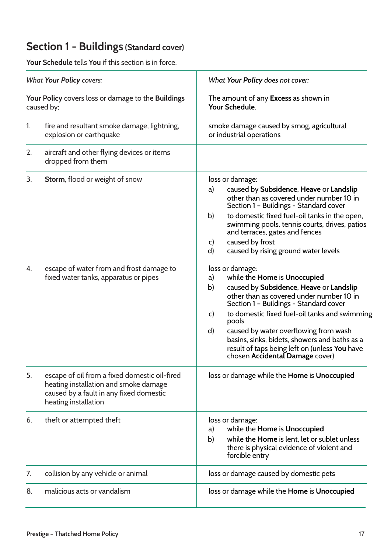## **Section 1 - Buildings (Standard cover)**

|                                                                                                     | <b>Your Schedule</b> tells You if this section is in force.                                                                                               |                                                                                                                                                                                                                                                                                                                                                                                                                                                            |  |
|-----------------------------------------------------------------------------------------------------|-----------------------------------------------------------------------------------------------------------------------------------------------------------|------------------------------------------------------------------------------------------------------------------------------------------------------------------------------------------------------------------------------------------------------------------------------------------------------------------------------------------------------------------------------------------------------------------------------------------------------------|--|
| <b>What Your Policy covers:</b><br>Your Policy covers loss or damage to the Buildings<br>caused by; |                                                                                                                                                           | What Your Policy does not cover:                                                                                                                                                                                                                                                                                                                                                                                                                           |  |
|                                                                                                     |                                                                                                                                                           | The amount of any <b>Excess</b> as shown in<br>Your Schedule.                                                                                                                                                                                                                                                                                                                                                                                              |  |
| $\mathbf{1}$ .                                                                                      | fire and resultant smoke damage, lightning,<br>explosion or earthquake                                                                                    | smoke damage caused by smog, agricultural<br>or industrial operations                                                                                                                                                                                                                                                                                                                                                                                      |  |
| 2.                                                                                                  | aircraft and other flying devices or items<br>dropped from them                                                                                           |                                                                                                                                                                                                                                                                                                                                                                                                                                                            |  |
| 3.                                                                                                  | Storm, flood or weight of snow                                                                                                                            | loss or damage:<br>caused by Subsidence, Heave or Landslip<br>a)<br>other than as covered under number 10 in<br>Section 1 - Buildings - Standard cover<br>b)<br>to domestic fixed fuel-oil tanks in the open,<br>swimming pools, tennis courts, drives, patios<br>and terraces, gates and fences<br>caused by frost<br>c)<br>d)<br>caused by rising ground water levels                                                                                    |  |
| 4.                                                                                                  | escape of water from and frost damage to<br>fixed water tanks, apparatus or pipes                                                                         | loss or damage:<br>while the Home is Unoccupied<br>a)<br>b)<br>caused by Subsidence, Heave or Landslip<br>other than as covered under number 10 in<br>Section 1 - Buildings - Standard cover<br>to domestic fixed fuel-oil tanks and swimming<br>c)<br>pools<br>$\mathsf{d}$<br>caused by water overflowing from wash<br>basins, sinks, bidets, showers and baths as a<br>result of taps being left on (unless You have<br>chosen Accidental Damage cover) |  |
| 5.                                                                                                  | escape of oil from a fixed domestic oil-fired<br>heating installation and smoke damage<br>caused by a fault in any fixed domestic<br>heating installation | loss or damage while the Home is Unoccupied                                                                                                                                                                                                                                                                                                                                                                                                                |  |
| 6.                                                                                                  | theft or attempted theft                                                                                                                                  | loss or damage:<br>while the Home is Unoccupied<br>a)<br>while the Home is lent, let or sublet unless<br>b)<br>there is physical evidence of violent and<br>forcible entry                                                                                                                                                                                                                                                                                 |  |
| 7.                                                                                                  | collision by any vehicle or animal                                                                                                                        | loss or damage caused by domestic pets                                                                                                                                                                                                                                                                                                                                                                                                                     |  |
| 8.                                                                                                  | malicious acts or vandalism                                                                                                                               | loss or damage while the Home is Unoccupied                                                                                                                                                                                                                                                                                                                                                                                                                |  |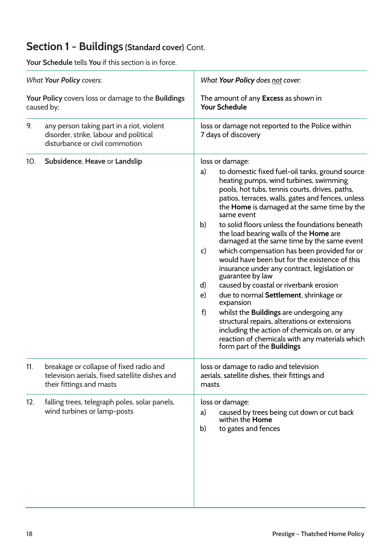## **Section 1 - Buildings (Standard cover)** Cont.

| <b>What Your Policy covers:</b><br>Your Policy covers loss or damage to the Buildings<br>caused by; |                                                                                                                       | What Your Policy does not cover:<br>The amount of any Excess as shown in<br><b>Your Schedule</b>                                                                                                                                                                                                                                                                                                                                                                                                                                                                                                                                                                                                                                                                                                                                                                                                                                                                                         |  |
|-----------------------------------------------------------------------------------------------------|-----------------------------------------------------------------------------------------------------------------------|------------------------------------------------------------------------------------------------------------------------------------------------------------------------------------------------------------------------------------------------------------------------------------------------------------------------------------------------------------------------------------------------------------------------------------------------------------------------------------------------------------------------------------------------------------------------------------------------------------------------------------------------------------------------------------------------------------------------------------------------------------------------------------------------------------------------------------------------------------------------------------------------------------------------------------------------------------------------------------------|--|
|                                                                                                     |                                                                                                                       |                                                                                                                                                                                                                                                                                                                                                                                                                                                                                                                                                                                                                                                                                                                                                                                                                                                                                                                                                                                          |  |
| 10 <sub>1</sub>                                                                                     | Subsidence, Heave or Landslip                                                                                         | loss or damage:<br>to domestic fixed fuel-oil tanks, ground source<br>a)<br>heating pumps, wind turbines, swimming<br>pools, hot tubs, tennis courts, drives, paths,<br>patios, terraces, walls, gates and fences, unless<br>the Home is damaged at the same time by the<br>same event<br>b)<br>to solid floors unless the foundations beneath<br>the load bearing walls of the Home are<br>damaged at the same time by the same event<br>which compensation has been provided for or<br>$\mathsf{C}$<br>would have been but for the existence of this<br>insurance under any contract, legislation or<br>guarantee by law<br>caused by coastal or riverbank erosion<br>d)<br>due to normal Settlement, shrinkage or<br>$\epsilon$<br>expansion<br>f)<br>whilst the <b>Buildings</b> are undergoing any<br>structural repairs, alterations or extensions<br>including the action of chemicals on, or any<br>reaction of chemicals with any materials which<br>form part of the Buildings |  |
| 11.                                                                                                 | breakage or collapse of fixed radio and<br>television aerials, fixed satellite dishes and<br>their fittings and masts | loss or damage to radio and television<br>aerials, satellite dishes, their fittings and<br>masts                                                                                                                                                                                                                                                                                                                                                                                                                                                                                                                                                                                                                                                                                                                                                                                                                                                                                         |  |
| 12.                                                                                                 | falling trees, telegraph poles, solar panels,<br>wind turbines or lamp-posts                                          | loss or damage:<br>caused by trees being cut down or cut back<br>a)<br>within the <b>Home</b><br>to gates and fences<br>b)                                                                                                                                                                                                                                                                                                                                                                                                                                                                                                                                                                                                                                                                                                                                                                                                                                                               |  |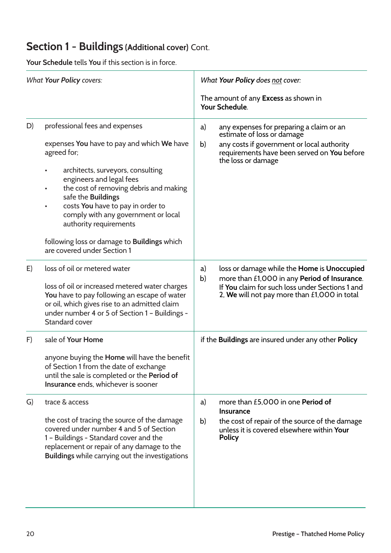## **Section 1 - Buildings (Additional cover)** Cont.

|    | <b>What Your Policy covers:</b>                                                                                                                                                                                                                                                                                                    | What Your Policy does not cover:                                                                                                                                                                           |  |
|----|------------------------------------------------------------------------------------------------------------------------------------------------------------------------------------------------------------------------------------------------------------------------------------------------------------------------------------|------------------------------------------------------------------------------------------------------------------------------------------------------------------------------------------------------------|--|
|    |                                                                                                                                                                                                                                                                                                                                    | The amount of any <b>Excess</b> as shown in<br>Your Schedule.                                                                                                                                              |  |
| D) | professional fees and expenses<br>expenses You have to pay and which We have<br>agreed for;<br>architects, surveyors, consulting<br>engineers and legal fees<br>the cost of removing debris and making<br>safe the Buildings<br>costs You have to pay in order to<br>comply with any government or local<br>authority requirements | any expenses for preparing a claim or an<br>a)<br>estimate of loss or damage<br>any costs if government or local authority<br>b)<br>requirements have been served on You before<br>the loss or damage      |  |
|    | following loss or damage to Buildings which<br>are covered under Section 1                                                                                                                                                                                                                                                         |                                                                                                                                                                                                            |  |
| E) | loss of oil or metered water<br>loss of oil or increased metered water charges<br>You have to pay following an escape of water<br>or oil, which gives rise to an admitted claim<br>under number 4 or 5 of Section 1 - Buildings -<br><b>Standard cover</b>                                                                         | loss or damage while the Home is Unoccupied<br>a)<br>more than £1,000 in any Period of Insurance.<br>b)<br>If You claim for such loss under Sections 1 and<br>2, We will not pay more than £1,000 in total |  |
| F) | sale of Your Home<br>anyone buying the Home will have the benefit<br>of Section 1 from the date of exchange<br>until the sale is completed or the Period of<br>Insurance ends, whichever is sooner                                                                                                                                 | if the Buildings are insured under any other Policy                                                                                                                                                        |  |
| G) | trace & access<br>the cost of tracing the source of the damage<br>covered under number 4 and 5 of Section<br>1 - Buildings - Standard cover and the<br>replacement or repair of any damage to the<br>Buildings while carrying out the investigations                                                                               | more than £5,000 in one Period of<br>a)<br><b>Insurance</b><br>b)<br>the cost of repair of the source of the damage<br>unless it is covered elsewhere within Your<br><b>Policy</b>                         |  |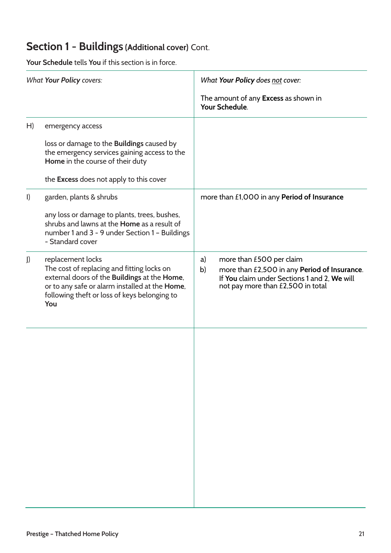## **Section 1 - Buildings (Additional cover)** Cont.

|         | <b>Your Schedule</b> tells You if this section is in force.                                                                                                                                                              |                                                                                                                                                                           |  |
|---------|--------------------------------------------------------------------------------------------------------------------------------------------------------------------------------------------------------------------------|---------------------------------------------------------------------------------------------------------------------------------------------------------------------------|--|
|         | <b>What Your Policy covers:</b>                                                                                                                                                                                          | What Your Policy does not cover:<br>The amount of any Excess as shown in<br>Your Schedule.                                                                                |  |
| H)      | emergency access<br>loss or damage to the <b>Buildings</b> caused by<br>the emergency services gaining access to the<br>Home in the course of their duty<br>the <b>Excess</b> does not apply to this cover               |                                                                                                                                                                           |  |
| $\vert$ | garden, plants & shrubs<br>any loss or damage to plants, trees, bushes,<br>shrubs and lawns at the <b>Home</b> as a result of<br>number 1 and 3 - 9 under Section 1 - Buildings<br>- Standard cover                      | more than £1,000 in any Period of Insurance                                                                                                                               |  |
| J)      | replacement locks<br>The cost of replacing and fitting locks on<br>external doors of the Buildings at the Home,<br>or to any safe or alarm installed at the Home,<br>following theft or loss of keys belonging to<br>You | more than £500 per claim<br>a)<br>more than £2,500 in any Period of Insurance.<br>b)<br>If You claim under Sections 1 and 2, We will<br>not pay more than £2,500 in total |  |
|         |                                                                                                                                                                                                                          |                                                                                                                                                                           |  |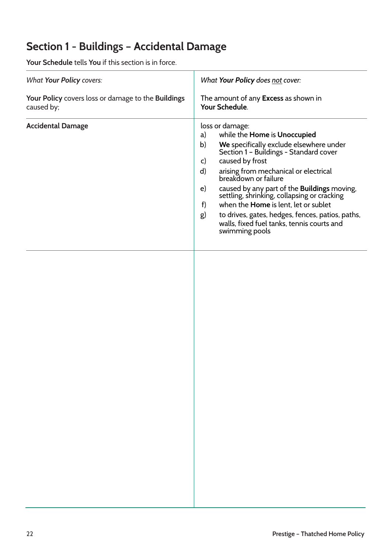## **Section 1 - Buildings – Accidental Damage**

| <b>What Your Policy covers:</b>                                  | What Your Policy does not cover:                                                                                                                                                                                                                                                                                                                                                                                                                                                                                                                   |  |
|------------------------------------------------------------------|----------------------------------------------------------------------------------------------------------------------------------------------------------------------------------------------------------------------------------------------------------------------------------------------------------------------------------------------------------------------------------------------------------------------------------------------------------------------------------------------------------------------------------------------------|--|
| Your Policy covers loss or damage to the Buildings<br>caused by; | The amount of any Excess as shown in<br>Your Schedule.                                                                                                                                                                                                                                                                                                                                                                                                                                                                                             |  |
| <b>Accidental Damage</b>                                         | loss or damage:<br>while the Home is Unoccupied<br>a)<br>We specifically exclude elsewhere under<br>Section 1 - Buildings - Standard cover<br>b)<br>caused by frost<br>$\mathsf{C}$<br>arising from mechanical or electrical<br>breakdown or failure<br>d)<br>caused by any part of the <b>Buildings</b> moving, settling, shrinking, collapsing or cracking<br>$\epsilon$<br>when the Home is lent, let or sublet<br>f)<br>to drives, gates, hedges, fences, patios, paths,<br>g)<br>walls, fixed fuel tanks, tennis courts and<br>swimming pools |  |
|                                                                  |                                                                                                                                                                                                                                                                                                                                                                                                                                                                                                                                                    |  |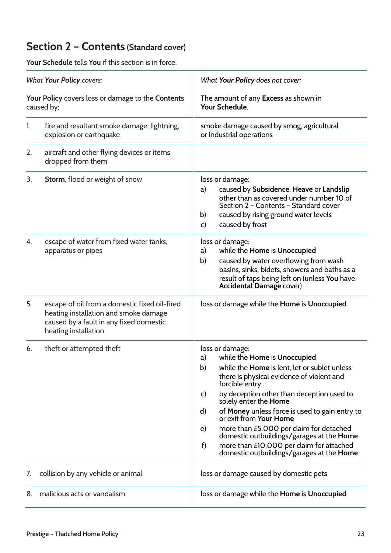## **Section 2 – Contents (Standard cover)**

|                                                                 | <b>Your Schedule</b> tells You if this section is in force.                                                                                               |                                                                                                                                                                                                                                                                                                                                                                                                                                                                                                                                                                         |  |
|-----------------------------------------------------------------|-----------------------------------------------------------------------------------------------------------------------------------------------------------|-------------------------------------------------------------------------------------------------------------------------------------------------------------------------------------------------------------------------------------------------------------------------------------------------------------------------------------------------------------------------------------------------------------------------------------------------------------------------------------------------------------------------------------------------------------------------|--|
|                                                                 | <b>What Your Policy covers:</b>                                                                                                                           | What Your Policy does not cover:                                                                                                                                                                                                                                                                                                                                                                                                                                                                                                                                        |  |
| Your Policy covers loss or damage to the Contents<br>caused by; |                                                                                                                                                           | The amount of any <b>Excess</b> as shown in<br>Your Schedule.                                                                                                                                                                                                                                                                                                                                                                                                                                                                                                           |  |
| 1.                                                              | fire and resultant smoke damage, lightning,<br>explosion or earthquake                                                                                    | smoke damage caused by smog, agricultural<br>or industrial operations                                                                                                                                                                                                                                                                                                                                                                                                                                                                                                   |  |
| 2.                                                              | aircraft and other flying devices or items<br>dropped from them                                                                                           |                                                                                                                                                                                                                                                                                                                                                                                                                                                                                                                                                                         |  |
| 3.                                                              | Storm, flood or weight of snow                                                                                                                            | loss or damage:<br>caused by Subsidence, Heave or Landslip<br>a)<br>other than as covered under number 10 of<br>Section 2 - Contents - Standard cover<br>b)<br>caused by rising ground water levels<br>caused by frost<br>c)                                                                                                                                                                                                                                                                                                                                            |  |
| 4.                                                              | escape of water from fixed water tanks,<br>apparatus or pipes                                                                                             | loss or damage:<br>while the Home is Unoccupied<br>a)<br>caused by water overflowing from wash<br>b)<br>basins, sinks, bidets, showers and baths as a<br>result of taps being left on (unless You have<br><b>Accidental Damage cover)</b>                                                                                                                                                                                                                                                                                                                               |  |
| 5.                                                              | escape of oil from a domestic fixed oil-fired<br>heating installation and smoke damage<br>caused by a fault in any fixed domestic<br>heating installation | loss or damage while the Home is Unoccupied                                                                                                                                                                                                                                                                                                                                                                                                                                                                                                                             |  |
| 6.                                                              | theft or attempted theft                                                                                                                                  | loss or damage:<br>while the Home is Unoccupied<br>a)<br>while the Home is lent, let or sublet unless<br>b)<br>there is physical evidence of violent and<br>forcible entry<br>by deception other than deception used to<br>$\mathsf{C}$<br>solely enter the <b>Home</b><br>of Money unless force is used to gain entry to<br>$\mathsf{d}$<br>or exit from Your Home<br>more than £5,000 per claim for detached<br>e)<br>domestic outbuildings/garages at the Home<br>f)<br>more than £10,000 per claim for attached<br>domestic outbuildings/garages at the <b>Home</b> |  |
| $\prime$ .                                                      | collision by any vehicle or animal                                                                                                                        | loss or damage caused by domestic pets                                                                                                                                                                                                                                                                                                                                                                                                                                                                                                                                  |  |
| 8.                                                              | malicious acts or vandalism                                                                                                                               | loss or damage while the Home is Unoccupied                                                                                                                                                                                                                                                                                                                                                                                                                                                                                                                             |  |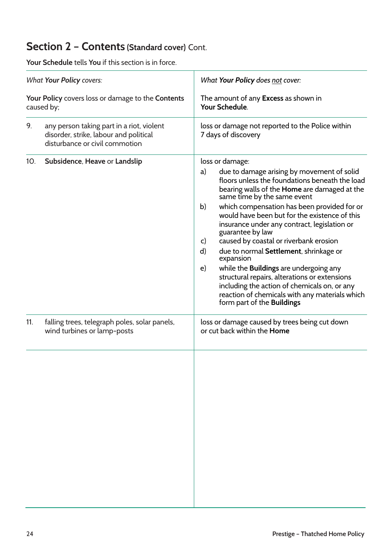## **Section 2 – Contents (Standard cover)** Cont.

|                                                                                                    | <b>Your Schedule</b> tells You if this section is in force.                  |                                                                                                                                                                                                                                                                                                                                                                                                                                                                                                                                                                                                                                                                                                                                                |  |
|----------------------------------------------------------------------------------------------------|------------------------------------------------------------------------------|------------------------------------------------------------------------------------------------------------------------------------------------------------------------------------------------------------------------------------------------------------------------------------------------------------------------------------------------------------------------------------------------------------------------------------------------------------------------------------------------------------------------------------------------------------------------------------------------------------------------------------------------------------------------------------------------------------------------------------------------|--|
| <b>What Your Policy covers:</b><br>Your Policy covers loss or damage to the Contents<br>caused by; |                                                                              | What Your Policy does not cover:<br>The amount of any <b>Excess</b> as shown in<br>Your Schedule.                                                                                                                                                                                                                                                                                                                                                                                                                                                                                                                                                                                                                                              |  |
|                                                                                                    |                                                                              |                                                                                                                                                                                                                                                                                                                                                                                                                                                                                                                                                                                                                                                                                                                                                |  |
| 10 <sub>1</sub>                                                                                    | Subsidence, Heave or Landslip                                                | loss or damage:<br>due to damage arising by movement of solid<br>a)<br>floors unless the foundations beneath the load<br>bearing walls of the Home are damaged at the<br>same time by the same event<br>which compensation has been provided for or<br>b)<br>would have been but for the existence of this<br>insurance under any contract, legislation or<br>guarantee by law<br>caused by coastal or riverbank erosion<br>$\mathsf{C}$<br>due to normal Settlement, shrinkage or<br>d)<br>expansion<br>while the Buildings are undergoing any<br>$\epsilon$<br>structural repairs, alterations or extensions<br>including the action of chemicals on, or any<br>reaction of chemicals with any materials which<br>form part of the Buildings |  |
| 11.                                                                                                | falling trees, telegraph poles, solar panels,<br>wind turbines or lamp-posts | loss or damage caused by trees being cut down<br>or cut back within the Home                                                                                                                                                                                                                                                                                                                                                                                                                                                                                                                                                                                                                                                                   |  |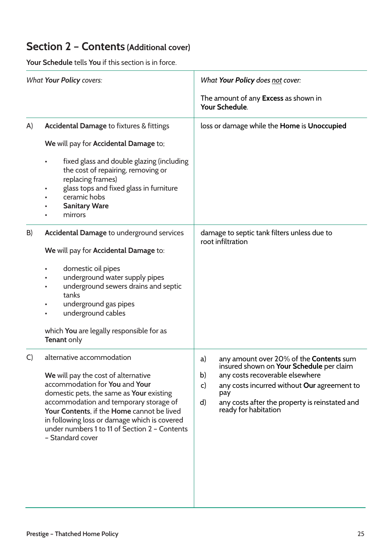|         | <b>Your Schedule</b> tells You if this section is in force.                                                                                                                                                                                                                                                                                             |                                                                                                                                                                                                                                                                                                    |  |
|---------|---------------------------------------------------------------------------------------------------------------------------------------------------------------------------------------------------------------------------------------------------------------------------------------------------------------------------------------------------------|----------------------------------------------------------------------------------------------------------------------------------------------------------------------------------------------------------------------------------------------------------------------------------------------------|--|
|         | <b>What Your Policy covers:</b>                                                                                                                                                                                                                                                                                                                         | What Your Policy does not cover:<br>The amount of any Excess as shown in<br>Your Schedule.                                                                                                                                                                                                         |  |
| A)      | <b>Accidental Damage to fixtures &amp; fittings</b><br>We will pay for Accidental Damage to;<br>fixed glass and double glazing (including<br>the cost of repairing, removing or<br>replacing frames)<br>glass tops and fixed glass in furniture<br>ceramic hobs<br><b>Sanitary Ware</b><br>mirrors                                                      | loss or damage while the Home is Unoccupied                                                                                                                                                                                                                                                        |  |
| B)      | Accidental Damage to underground services<br>We will pay for Accidental Damage to:<br>domestic oil pipes<br>underground water supply pipes<br>underground sewers drains and septic<br>tanks<br>underground gas pipes<br>underground cables<br>which You are legally responsible for as<br><b>Tenant only</b>                                            | damage to septic tank filters unless due to<br>root infiltration                                                                                                                                                                                                                                   |  |
| $\cdot$ | alternative accommodation<br>We will pay the cost of alternative<br>accommodation for You and Your domestic<br>pets, TJNJMBSUlour existing accommodation<br>and temporary storage of Your Contents, if<br>the Home cannot be lived in following loss or<br>damage which is covered under numbers 1 to<br>11 of Section 2 - Contents<br>- Standard cover | any amount over 20% of the Contents sum<br>a)<br>insured shown on Your Schedule per claim<br>any costs recoverable elsewhere<br>b)<br>any costs incurred without Our agreement to<br>$\mathsf{C}$<br>pay<br>any costs after the property is reinstated and<br>$\mathsf{d}$<br>ready for habitation |  |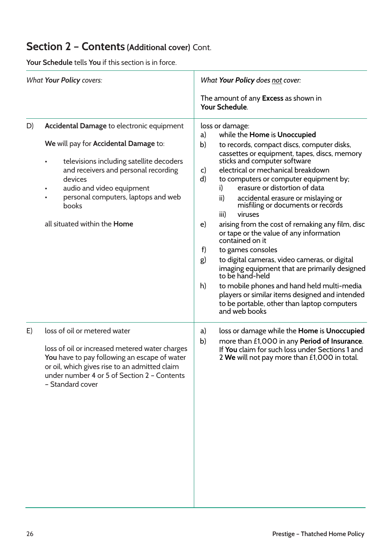|                                 | <b>Your Schedule</b> tells You if this section is in force.                                                                                                                                                                                                                                                        |                                                                                                                                                                                                                                                                                                                                                                                                                                                                                                                                                                                                                                                                                                                                                                                                                                                                                       |  |  |
|---------------------------------|--------------------------------------------------------------------------------------------------------------------------------------------------------------------------------------------------------------------------------------------------------------------------------------------------------------------|---------------------------------------------------------------------------------------------------------------------------------------------------------------------------------------------------------------------------------------------------------------------------------------------------------------------------------------------------------------------------------------------------------------------------------------------------------------------------------------------------------------------------------------------------------------------------------------------------------------------------------------------------------------------------------------------------------------------------------------------------------------------------------------------------------------------------------------------------------------------------------------|--|--|
| <b>What Your Policy covers:</b> |                                                                                                                                                                                                                                                                                                                    | What Your Policy does not cover:<br>The amount of any Excess as shown in<br>Your Schedule.                                                                                                                                                                                                                                                                                                                                                                                                                                                                                                                                                                                                                                                                                                                                                                                            |  |  |
| D)                              | Accidental Damage to electronic equipment<br>We will pay for Accidental Damage to:<br>televisions including satellite decoders<br>$\bullet$<br>and receivers and personal recording<br>devices<br>audio and video equipment<br>personal computers, laptops and web<br>books<br>all situated within the <b>Home</b> | loss or damage:<br>while the Home is Unoccupied<br>a)<br>b)<br>to records, compact discs, computer disks,<br>cassettes or equipment, tapes, discs, memory<br>sticks and computer software<br>electrical or mechanical breakdown<br>C)<br>d)<br>to computers or computer equipment by;<br>erasure or distortion of data<br>i)<br>ii)<br>accidental erasure or mislaying or<br>misfiling or documents or records<br>iii)<br>viruses<br>arising from the cost of remaking any film, disc<br>e)<br>or tape or the value of any information<br>contained on it<br>f)<br>to games consoles<br>to digital cameras, video cameras, or digital<br>g)<br>imaging equipment that are primarily designed<br>to be hand-held<br>to mobile phones and hand held multi-media<br>h)<br>players or similar items designed and intended<br>to be portable, other than laptop computers<br>and web books |  |  |
| E)                              | loss of oil or metered water<br>loss of oil or increased metered water charges<br>You have to pay following an escape of water<br>or oil, which gives rise to an admitted claim<br>under number 4 or 5 of Section 2 - Contents<br>- Standard cover                                                                 | loss or damage while the Home is Unoccupied<br>a)<br>b)<br>more than £1,000 in any Period of Insurance.<br>If You claim for such loss under Sections 1 and<br>2 We will not pay more than £1,000 in total.                                                                                                                                                                                                                                                                                                                                                                                                                                                                                                                                                                                                                                                                            |  |  |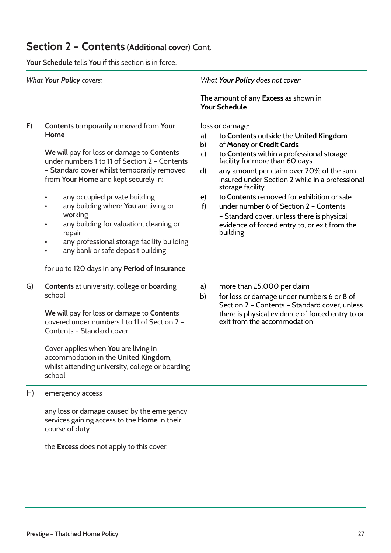| <b>What Your Policy covers:</b> |                                                                                                                                                                                                                                                                                                                                                                                                                                                                                                                                                    | What Your Policy does not cover:                                         |                                                                                                                                                                                                                                                                                                                                                                                                                                                             |  |  |
|---------------------------------|----------------------------------------------------------------------------------------------------------------------------------------------------------------------------------------------------------------------------------------------------------------------------------------------------------------------------------------------------------------------------------------------------------------------------------------------------------------------------------------------------------------------------------------------------|--------------------------------------------------------------------------|-------------------------------------------------------------------------------------------------------------------------------------------------------------------------------------------------------------------------------------------------------------------------------------------------------------------------------------------------------------------------------------------------------------------------------------------------------------|--|--|
|                                 |                                                                                                                                                                                                                                                                                                                                                                                                                                                                                                                                                    |                                                                          | The amount of any <b>Excess</b> as shown in<br><b>Your Schedule</b>                                                                                                                                                                                                                                                                                                                                                                                         |  |  |
| F)                              | <b>Contents temporarily removed from Your</b><br>Home<br>We will pay for loss or damage to Contents<br>under numbers 1 to 11 of Section 2 - Contents<br>- Standard cover whilst temporarily removed<br>from Your Home and kept securely in:<br>any occupied private building<br>$\bullet$<br>any building where You are living or<br>working<br>any building for valuation, cleaning or<br>$\bullet$<br>repair<br>any professional storage facility building<br>any bank or safe deposit building<br>for up to 120 days in any Period of Insurance | loss or damage:<br>a)<br>b)<br>$\mathsf{c}$<br>d)<br>e)<br>f<br>building | to Contents outside the United Kingdom<br>of Money or Credit Cards<br>to Contents within a professional storage<br>facility for more than 60 days<br>any amount per claim over 20% of the sum<br>insured under Section 2 while in a professional<br>storage facility<br>to Contents removed for exhibition or sale<br>under number 6 of Section 2 - Contents<br>- Standard cover, unless there is physical<br>evidence of forced entry to, or exit from the |  |  |
| G)                              | <b>Contents</b> at university, college or boarding<br>school<br>We will pay for loss or damage to Contents<br>covered under numbers 1 to 11 of Section 2 -<br>Contents - Standard cover.<br>Cover applies when You are living in<br>accommodation in the United Kingdom,<br>whilst attending university, college or boarding<br>school                                                                                                                                                                                                             | a)<br>b)                                                                 | more than £5,000 per claim<br>for loss or damage under numbers 6 or 8 of<br>Section 2 - Contents - Standard cover, unless<br>there is physical evidence of forced entry to or<br>exit from the accommodation                                                                                                                                                                                                                                                |  |  |
| H)                              | emergency access<br>any loss or damage caused by the emergency<br>services gaining access to the <b>Home</b> in their<br>course of duty<br>the <b>Excess</b> does not apply to this cover.                                                                                                                                                                                                                                                                                                                                                         |                                                                          |                                                                                                                                                                                                                                                                                                                                                                                                                                                             |  |  |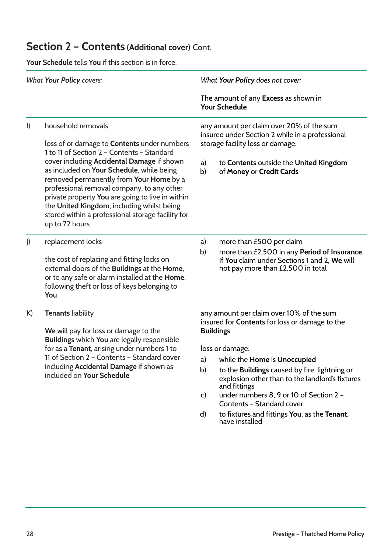| <b>What Your Policy covers:</b> |                                                                                                                                                                                                                                                                                                                                                                                                                                                                                     | What Your Policy does not cover:                                                                                                                                                                                                                                                                                                                                                                                                                                                   |  |  |
|---------------------------------|-------------------------------------------------------------------------------------------------------------------------------------------------------------------------------------------------------------------------------------------------------------------------------------------------------------------------------------------------------------------------------------------------------------------------------------------------------------------------------------|------------------------------------------------------------------------------------------------------------------------------------------------------------------------------------------------------------------------------------------------------------------------------------------------------------------------------------------------------------------------------------------------------------------------------------------------------------------------------------|--|--|
|                                 |                                                                                                                                                                                                                                                                                                                                                                                                                                                                                     | The amount of any <b>Excess</b> as shown in<br><b>Your Schedule</b>                                                                                                                                                                                                                                                                                                                                                                                                                |  |  |
| $\vert$                         | household removals<br>loss of or damage to <b>Contents</b> under numbers<br>1 to 11 of Section 2 - Contents - Standard<br>cover including Accidental Damage if shown<br>as included on Your Schedule, while being<br>removed permanently from Your Home by a<br>professional removal company, to any other<br>private property You are going to live in within<br>the United Kingdom, including whilst being<br>stored within a professional storage facility for<br>up to 72 hours | any amount per claim over 20% of the sum<br>insured under Section 2 while in a professional<br>storage facility loss or damage:<br>to Contents outside the United Kingdom<br>a)<br>b)<br>of Money or Credit Cards                                                                                                                                                                                                                                                                  |  |  |
| $\mathbf{J}$                    | replacement locks<br>the cost of replacing and fitting locks on<br>external doors of the Buildings at the Home,<br>or to any safe or alarm installed at the Home,<br>following theft or loss of keys belonging to<br>You                                                                                                                                                                                                                                                            | more than £500 per claim<br>a)<br>b)<br>more than £2,500 in any Period of Insurance.<br>If You claim under Sections 1 and 2, We will<br>not pay more than £2,500 in total                                                                                                                                                                                                                                                                                                          |  |  |
| K)                              | <b>Tenants liability</b><br>We will pay for loss or damage to the<br>Buildings which You are legally responsible<br>for as a Tenant, arising under numbers 1 to<br>11 of Section 2 - Contents - Standard cover<br>including Accidental Damage if shown as<br>included on Your Schedule                                                                                                                                                                                              | any amount per claim over 10% of the sum<br>insured for <b>Contents</b> for loss or damage to the<br><b>Buildings</b><br>loss or damage:<br>while the Home is Unoccupied<br>a)<br>to the Buildings caused by fire, lightning or<br>b)<br>explosion other than to the landlord's fixtures<br>and fittings<br>under numbers 8, 9 or 10 of Section 2 -<br>$\mathsf{C}$<br>Contents - Standard cover<br>to fixtures and fittings You, as the Tenant,<br>$\mathsf{d}$<br>have installed |  |  |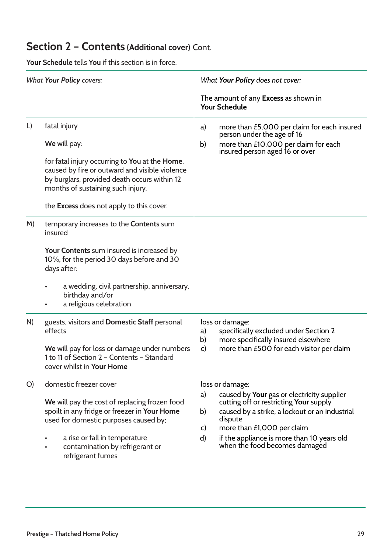| <b>What Your Policy covers:</b> |                                                                                                                                                                                                                                                                          | What Your Policy does not cover:                                                                                                                                                                                                                                                                          |
|---------------------------------|--------------------------------------------------------------------------------------------------------------------------------------------------------------------------------------------------------------------------------------------------------------------------|-----------------------------------------------------------------------------------------------------------------------------------------------------------------------------------------------------------------------------------------------------------------------------------------------------------|
|                                 |                                                                                                                                                                                                                                                                          | The amount of any <b>Excess</b> as shown in<br><b>Your Schedule</b>                                                                                                                                                                                                                                       |
| $\lfloor$                       | fatal injury<br>We will pay:<br>for fatal injury occurring to You at the Home,<br>caused by fire or outward and visible violence<br>by burglars, provided death occurs within 12<br>months of sustaining such injury.<br>the <b>Excess</b> does not apply to this cover. | more than £5,000 per claim for each insured<br>a)<br>person under the age of 16<br>more than £10,000 per claim for each<br>b)<br>insured person aged 16 or over                                                                                                                                           |
| M)                              | temporary increases to the Contents sum<br>insured<br>Your Contents sum insured is increased by<br>10%, for the period 30 days before and 30<br>days after:<br>a wedding, civil partnership, anniversary,<br>birthday and/or<br>a religious celebration                  |                                                                                                                                                                                                                                                                                                           |
| N)                              | guests, visitors and Domestic Staff personal<br>effects<br>We will pay for loss or damage under numbers<br>1 to 11 of Section 2 - Contents - Standard<br>cover whilst in Your Home                                                                                       | loss or damage:<br>specifically excluded under Section 2<br>a)<br>b)<br>more specifically insured elsewhere<br>more than £500 for each visitor per claim<br>c)                                                                                                                                            |
| O)                              | domestic freezer cover<br>We will pay the cost of replacing frozen food<br>spoilt in any fridge or freezer in Your Home<br>used for domestic purposes caused by;<br>a rise or fall in temperature<br>contamination by refrigerant or<br>refrigerant fumes                | loss or damage:<br>caused by Your gas or electricity supplier<br>a)<br>cutting off or restricting Your supply<br>caused by a strike, a lockout or an industrial<br>b)<br>dispute<br>more than £1,000 per claim<br>C)<br>d)<br>if the appliance is more than 10 years old<br>when the food becomes damaged |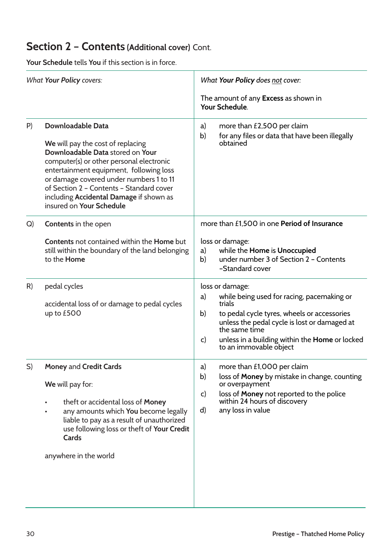| <b>What Your Policy covers:</b> |                                                                                                                                                                                                                                                                                                                                                        | What Your Policy does not cover:                                                                                                                                                                                                                                                                |
|---------------------------------|--------------------------------------------------------------------------------------------------------------------------------------------------------------------------------------------------------------------------------------------------------------------------------------------------------------------------------------------------------|-------------------------------------------------------------------------------------------------------------------------------------------------------------------------------------------------------------------------------------------------------------------------------------------------|
|                                 |                                                                                                                                                                                                                                                                                                                                                        | The amount of any <b>Excess</b> as shown in<br>Your Schedule.                                                                                                                                                                                                                                   |
| P)                              | <b>Downloadable Data</b><br>We will pay the cost of replacing<br>Downloadable Data stored on Your<br>computer(s) or other personal electronic<br>entertainment equipment, following loss<br>or damage covered under numbers 1 to 11<br>of Section 2 - Contents - Standard cover<br>including Accidental Damage if shown as<br>insured on Your Schedule | more than £2,500 per claim<br>a)<br>for any files or data that have been illegally<br>b)<br>obtained                                                                                                                                                                                            |
| Q)                              | <b>Contents</b> in the open<br><b>Contents</b> not contained within the <b>Home</b> but<br>still within the boundary of the land belonging<br>to the <b>Home</b>                                                                                                                                                                                       | more than £1,500 in one Period of Insurance<br>loss or damage:<br>while the Home is Unoccupied<br>a)<br>under number 3 of Section 2 - Contents<br>b)<br>-Standard cover                                                                                                                         |
| R)                              | pedal cycles<br>accidental loss of or damage to pedal cycles<br>up to £500                                                                                                                                                                                                                                                                             | loss or damage:<br>while being used for racing, pacemaking or<br>a)<br>trials<br>to pedal cycle tyres, wheels or accessories<br>b)<br>unless the pedal cycle is lost or damaged at<br>the same time<br>unless in a building within the Home or locked<br>$\mathsf{C}$<br>to an immovable object |
| S)                              | <b>Money and Credit Cards</b><br>We will pay for:<br>theft or accidental loss of Money<br>any amounts which You become legally<br>liable to pay as a result of unauthorized<br>use following loss or theft of Your Credit<br>Cards<br>anywhere in the world                                                                                            | more than £1,000 per claim<br>a)<br>loss of Money by mistake in change, counting<br>b)<br>or overpayment<br>loss of Money not reported to the police<br>C)<br>within 24 hours of discovery<br>any loss in value<br>d)                                                                           |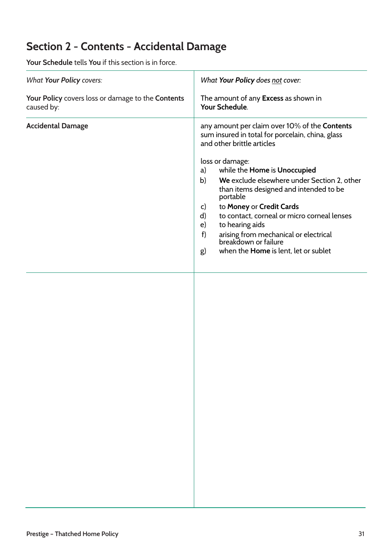## **Section 2 - Contents - Accidental Damage**

| <b>Your Schedule</b> tells You if this section is in force.     |                                                                                                                                                                                                                                                                                                                                                                                                                                                                                                                                          |  |
|-----------------------------------------------------------------|------------------------------------------------------------------------------------------------------------------------------------------------------------------------------------------------------------------------------------------------------------------------------------------------------------------------------------------------------------------------------------------------------------------------------------------------------------------------------------------------------------------------------------------|--|
| <b>What Your Policy covers:</b>                                 | What Your Policy does not cover:                                                                                                                                                                                                                                                                                                                                                                                                                                                                                                         |  |
| Your Policy covers loss or damage to the Contents<br>caused by: | The amount of any Excess as shown in<br>Your Schedule.                                                                                                                                                                                                                                                                                                                                                                                                                                                                                   |  |
| <b>Accidental Damage</b>                                        | any amount per claim over 10% of the Contents<br>sum insured in total for porcelain, china, glass<br>and other brittle articles<br>loss or damage:<br>while the Home is Unoccupied<br>a)<br>We exclude elsewhere under Section 2, other<br>b)<br>than items designed and intended to be<br>portable<br>to Money or Credit Cards<br>C)<br>to contact, corneal or micro corneal lenses<br>d)<br>to hearing aids<br>e)<br>f)<br>arising from mechanical or electrical<br>breakdown or failure<br>when the Home is lent, let or sublet<br>g) |  |
|                                                                 |                                                                                                                                                                                                                                                                                                                                                                                                                                                                                                                                          |  |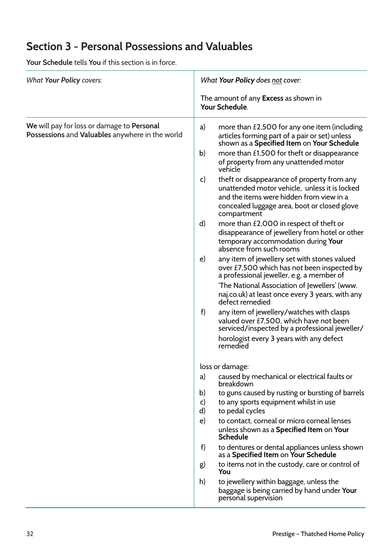## **Section 3 - Personal Possessions and Valuables**

| <b>What Your Policy covers:</b>                                                               | What Your Policy does not cover:                                                                                                                                                                              |
|-----------------------------------------------------------------------------------------------|---------------------------------------------------------------------------------------------------------------------------------------------------------------------------------------------------------------|
|                                                                                               | The amount of any <b>Excess</b> as shown in<br>Your Schedule.                                                                                                                                                 |
| We will pay for loss or damage to Personal<br>Possessions and Valuables anywhere in the world | a)<br>more than $£2,500$ for any one item (including<br>articles forming part of a pair or set) unless<br>shown as a Specified Item on Your Schedule                                                          |
|                                                                                               | more than £1,500 for theft or disappearance<br>b)<br>of property from any unattended motor<br>vehicle                                                                                                         |
|                                                                                               | theft or disappearance of property from any<br>C)<br>unattended motor vehicle, unless it is locked<br>and the items were hidden from view in a<br>concealed luggage area, boot or closed glove<br>compartment |
|                                                                                               | more than £2,000 in respect of theft or<br>$\mathsf{d}$<br>disappearance of jewellery from hotel or other<br>temporary accommodation during Your<br>absence from such rooms                                   |
|                                                                                               | any item of jewellery set with stones valued<br>e)<br>over £7,500 which has not been inspected by<br>a professional jeweller, e.g. a member of                                                                |
|                                                                                               | 'The National Association of Jewellers' (www.<br>naj.co.uk) at least once every 3 years, with any<br>defect remedied                                                                                          |
|                                                                                               | f)<br>any item of jewellery/watches with clasps<br>valued over £7,500, which have not been<br>serviced/inspected by a professional jeweller/                                                                  |
|                                                                                               | horologist every 3 years with any defect<br>remedied                                                                                                                                                          |
|                                                                                               | loss or damage:                                                                                                                                                                                               |
|                                                                                               | caused by mechanical or electrical faults or<br>a)<br>breakdown                                                                                                                                               |
|                                                                                               | to guns caused by rusting or bursting of barrels<br>b)<br>to any sports equipment whilst in use<br>$\mathsf{C}$<br>to pedal cycles<br>d)                                                                      |
|                                                                                               | to contact, corneal or micro corneal lenses<br>$\epsilon$<br>unless shown as a Specified Item on Your<br><b>Schedule</b>                                                                                      |
|                                                                                               | f<br>to dentures or dental appliances unless shown<br>as a Specified Item on Your Schedule                                                                                                                    |
|                                                                                               | to items not in the custody, care or control of<br>g)<br>You                                                                                                                                                  |
|                                                                                               | to jewellery within baggage, unless the<br>h)<br>baggage is being carried by hand under Your<br>personal supervision                                                                                          |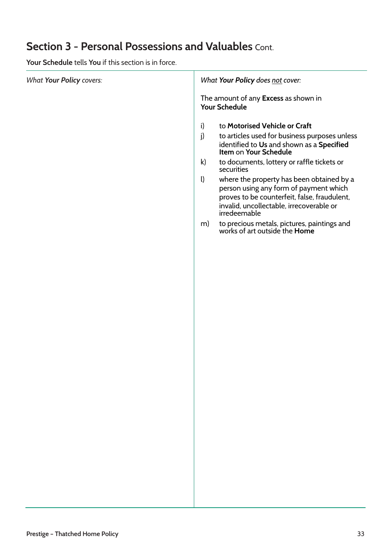## **Section 3 - Personal Possessions and Valuables** Cont.

| <b>What Your Policy covers:</b> | What Your Policy does not cover:                                                                                                                                                                                                                                                                                                                                                                                                                                                                                                                             |
|---------------------------------|--------------------------------------------------------------------------------------------------------------------------------------------------------------------------------------------------------------------------------------------------------------------------------------------------------------------------------------------------------------------------------------------------------------------------------------------------------------------------------------------------------------------------------------------------------------|
|                                 | The amount of any Excess as shown in<br><b>Your Schedule</b>                                                                                                                                                                                                                                                                                                                                                                                                                                                                                                 |
|                                 | to Motorised Vehicle or Craft<br>i)<br>j)<br>to articles used for business purposes unless<br>identified to Us and shown as a Specified<br>Item on Your Schedule<br>$\mathsf{k}$<br>to documents, lottery or raffle tickets or<br>securities<br>$\mathbf{I}$<br>where the property has been obtained by a<br>person using any form of payment which<br>proves to be counterfeit, false, fraudulent,<br>invalid, uncollectable, irrecoverable or<br>irredeemable<br>to precious metals, pictures, paintings and<br>works of art outside the <b>Home</b><br>m) |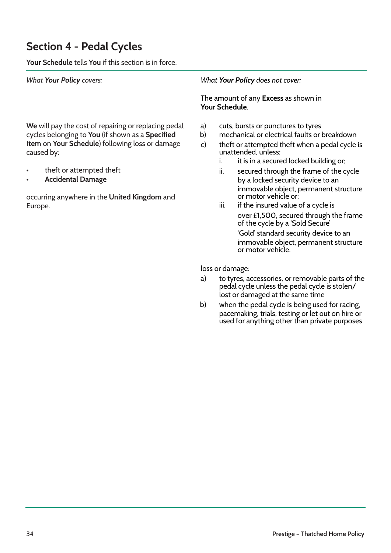## **Section 4 - Pedal Cycles**

| <b>What Your Policy covers:</b>                                                                                                                                                                                                                                                              | What Your Policy does not cover:                                                                                                                                                                                                                                                                                                                                                                                                                                                                                                                                                                                                                                                                                                                                                                                                                                                                                                                                 |
|----------------------------------------------------------------------------------------------------------------------------------------------------------------------------------------------------------------------------------------------------------------------------------------------|------------------------------------------------------------------------------------------------------------------------------------------------------------------------------------------------------------------------------------------------------------------------------------------------------------------------------------------------------------------------------------------------------------------------------------------------------------------------------------------------------------------------------------------------------------------------------------------------------------------------------------------------------------------------------------------------------------------------------------------------------------------------------------------------------------------------------------------------------------------------------------------------------------------------------------------------------------------|
|                                                                                                                                                                                                                                                                                              | The amount of any <b>Excess</b> as shown in<br>Your Schedule.                                                                                                                                                                                                                                                                                                                                                                                                                                                                                                                                                                                                                                                                                                                                                                                                                                                                                                    |
| We will pay the cost of repairing or replacing pedal<br>cycles belonging to You (if shown as a Specified<br>Item on Your Schedule) following loss or damage<br>caused by:<br>theft or attempted theft<br><b>Accidental Damage</b><br>occurring anywhere in the United Kingdom and<br>Europe. | cuts, bursts or punctures to tyres<br>a)<br>mechanical or electrical faults or breakdown<br>b)<br>theft or attempted theft when a pedal cycle is<br>$\mathsf{C}$<br>unattended, unless;<br>it is in a secured locked building or;<br>i.<br>ii.<br>secured through the frame of the cycle<br>by a locked security device to an<br>immovable object, permanent structure<br>or motor vehicle or:<br>if the insured value of a cycle is<br>iii.<br>over £1,500, secured through the frame<br>of the cycle by a 'Sold Secure'<br>'Gold' standard security device to an<br>immovable object, permanent structure<br>or motor vehicle.<br>loss or damage:<br>to tyres, accessories, or removable parts of the<br>a)<br>pedal cycle unless the pedal cycle is stolen/<br>lost or damaged at the same time<br>when the pedal cycle is being used for racing,<br>b)<br>pacemaking, trials, testing or let out on hire or<br>used for anything other than private purposes |
|                                                                                                                                                                                                                                                                                              |                                                                                                                                                                                                                                                                                                                                                                                                                                                                                                                                                                                                                                                                                                                                                                                                                                                                                                                                                                  |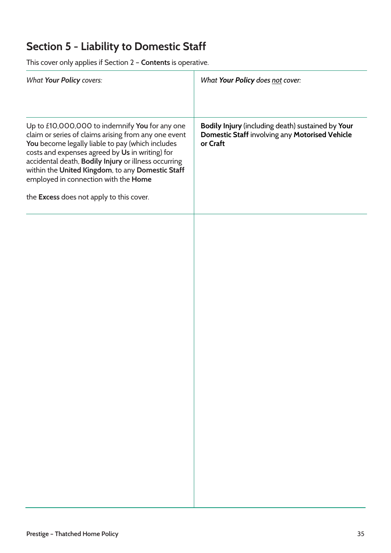## **Section 5 - Liability to Domestic Staff**

| <b>What Your Policy covers:</b>                                                                                                                                                                                                                                                                                                                                                                               | What Your Policy does not cover:                                                                                |
|---------------------------------------------------------------------------------------------------------------------------------------------------------------------------------------------------------------------------------------------------------------------------------------------------------------------------------------------------------------------------------------------------------------|-----------------------------------------------------------------------------------------------------------------|
| Up to £10,000,000 to indemnify You for any one<br>claim or series of claims arising from any one event<br>You become legally liable to pay (which includes<br>costs and expenses agreed by Us in writing) for<br>accidental death, Bodily Injury or illness occurring<br>within the United Kingdom, to any Domestic Staff<br>employed in connection with the Home<br>the Excess does not apply to this cover. | Bodily Injury (including death) sustained by Your<br>Domestic Staff involving any Motorised Vehicle<br>or Craft |
|                                                                                                                                                                                                                                                                                                                                                                                                               |                                                                                                                 |
|                                                                                                                                                                                                                                                                                                                                                                                                               |                                                                                                                 |
|                                                                                                                                                                                                                                                                                                                                                                                                               |                                                                                                                 |
|                                                                                                                                                                                                                                                                                                                                                                                                               |                                                                                                                 |
|                                                                                                                                                                                                                                                                                                                                                                                                               |                                                                                                                 |
|                                                                                                                                                                                                                                                                                                                                                                                                               |                                                                                                                 |
|                                                                                                                                                                                                                                                                                                                                                                                                               |                                                                                                                 |
|                                                                                                                                                                                                                                                                                                                                                                                                               |                                                                                                                 |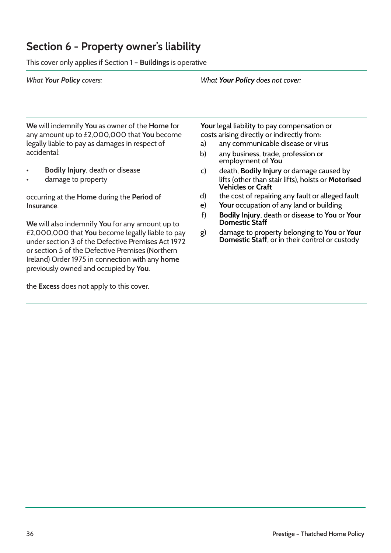## **Section 6 - Property owner's liability**

| This cover only applies if Section 1 - Buildings is operative                                                                                                                                                                                                                                                                                                                                                                                                                                                                                                                                                                                                     |                                                                                                                                                                                                                                                                                                                                                                                                                                                                                                                                                                                                                                                       |  |
|-------------------------------------------------------------------------------------------------------------------------------------------------------------------------------------------------------------------------------------------------------------------------------------------------------------------------------------------------------------------------------------------------------------------------------------------------------------------------------------------------------------------------------------------------------------------------------------------------------------------------------------------------------------------|-------------------------------------------------------------------------------------------------------------------------------------------------------------------------------------------------------------------------------------------------------------------------------------------------------------------------------------------------------------------------------------------------------------------------------------------------------------------------------------------------------------------------------------------------------------------------------------------------------------------------------------------------------|--|
| <b>What Your Policy covers:</b>                                                                                                                                                                                                                                                                                                                                                                                                                                                                                                                                                                                                                                   | What Your Policy does not cover:                                                                                                                                                                                                                                                                                                                                                                                                                                                                                                                                                                                                                      |  |
| We will indemnify You as owner of the Home for<br>any amount up to £2,000,000 that You become<br>legally liable to pay as damages in respect of<br>accidental:<br>Bodily Injury, death or disease<br>damage to property<br>occurring at the <b>Home</b> during the <b>Period of</b><br>Insurance.<br>We will also indemnify You for any amount up to<br>£2,000,000 that You become legally liable to pay<br>under section 3 of the Defective Premises Act 1972<br>or section 5 of the Defective Premises (Northern<br>Ireland) Order 1975 in connection with any home<br>previously owned and occupied by You.<br>the <b>Excess</b> does not apply to this cover. | Your legal liability to pay compensation or<br>costs arising directly or indirectly from:<br>any communicable disease or virus<br>a)<br>b)<br>any business, trade, profession or<br>employment of You<br>death, Bodily Injury or damage caused by<br>c)<br>lifts (other than stair lifts), hoists or Motorised<br><b>Vehicles or Craft</b><br>the cost of repairing any fault or alleged fault<br>d)<br>Your occupation of any land or building<br>$\epsilon$<br>Bodily Injury, death or disease to You or Your<br>f)<br>Domestic Staff<br>damage to property belonging to You or Your<br>g)<br><b>Domestic Staff, or in their control or custody</b> |  |
|                                                                                                                                                                                                                                                                                                                                                                                                                                                                                                                                                                                                                                                                   |                                                                                                                                                                                                                                                                                                                                                                                                                                                                                                                                                                                                                                                       |  |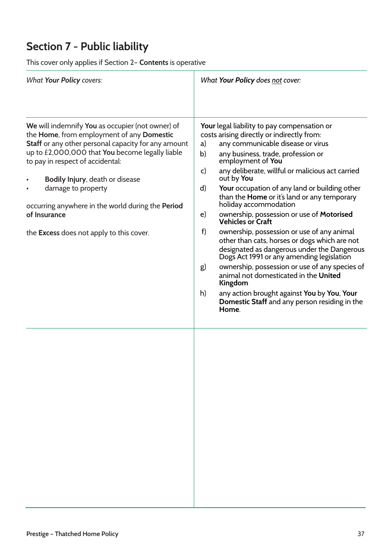## **Section 7 - Public liability**

| What Your Policy does not cover:                                                                                                                                                                                                                                                                                                                                                                                                                                                                                                                                                                                                                                                                                                                                                                                                                                               |
|--------------------------------------------------------------------------------------------------------------------------------------------------------------------------------------------------------------------------------------------------------------------------------------------------------------------------------------------------------------------------------------------------------------------------------------------------------------------------------------------------------------------------------------------------------------------------------------------------------------------------------------------------------------------------------------------------------------------------------------------------------------------------------------------------------------------------------------------------------------------------------|
| Your legal liability to pay compensation or<br>costs arising directly or indirectly from:<br>any communicable disease or virus<br>any business, trade, profession or<br>employment of You<br>any deliberate, willful or malicious act carried<br>out by You<br>Your occupation of any land or building other<br>than the <b>Home</b> or it's land or any temporary<br>holiday accommodation<br>ownership, possession or use of Motorised<br><b>Vehicles or Craft</b><br>ownership, possession or use of any animal<br>other than cats, horses or dogs which are not<br>designated as dangerous under the Dangerous<br>Dogs Act 1991 or any amending legislation<br>ownership, possession or use of any species of<br>animal not domesticated in the United<br>Kingdom<br>any action brought against You by You, Your<br>Domestic Staff and any person residing in the<br>Home. |
|                                                                                                                                                                                                                                                                                                                                                                                                                                                                                                                                                                                                                                                                                                                                                                                                                                                                                |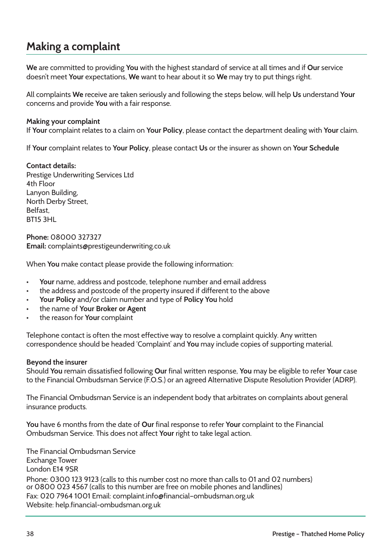## **Making a complaint**

**We** are committed to providing **You** with the highest standard of service at all times and if **Our** service doesn't meet **Your** expectations, **We** want to hear about it so **We** may try to put things right.

All complaints **We** receive are taken seriously and following the steps below, will help **Us** understand **Your** concerns and provide **You** with a fair response.

#### **Making your complaint**

If **Your** complaint relates to a claim on **Your Policy**, please contact the department dealing with **Your** claim.

If **Your** complaint relates to **Your Policy**, please contact **Us** or the insurer as shown on **Your Schedule**

#### **Contact details:**

Prestige Underwriting Services Ltd 4th Floor Lanyon Building, North Derby Street, Belfast, BT15 3HL

**Phone:** 08000 327327 **Email:** complaints@prestigeunderwriting.co.uk

When **You** make contact please provide the following information:

- **Your** name, address and postcode, telephone number and email address
- the address and postcode of the property insured if different to the above
- **Your Policy** and/or claim number and type of **Policy You** hold
- the name of **Your Broker or Agent**
- the reason for **Your** complaint

Telephone contact is often the most effective way to resolve a complaint quickly. Any written correspondence should be headed 'Complaint' and **You** may include copies of supporting material.

#### **Beyond the insurer**

Should **You** remain dissatisfied following **Our** final written response, **You** may be eligible to refer **Your** case to the Financial Ombudsman Service (F.O.S.) or an agreed Alternative Dispute Resolution Provider (ADRP).

The Financial Ombudsman Service is an independent body that arbitrates on complaints about general insurance products.

**You** have 6 months from the date of **Our** final response to refer **Your** complaint to the Financial Ombudsman Service. This does not affect **Your** right to take legal action.

The Financial Ombudsman Service Exchange Tower London E14 9SR Phone: 0300 123 9123 (calls to this number cost no more than calls to 01 and 02 numbers) or 0800 023 4567 (calls to this number are free on mobile phones and landlines) Fax: 020 7964 1001 Email: complaint.info@financial–ombudsman.org.uk Website: help.financial-ombudsman.org.uk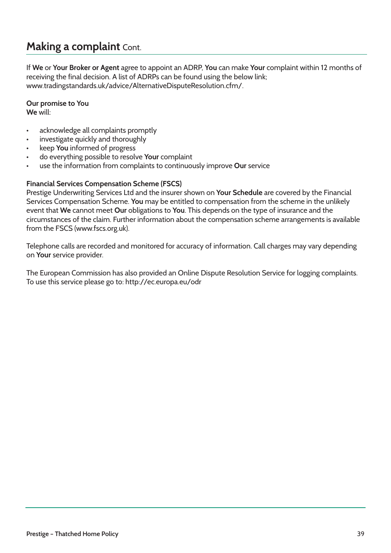## **Making a complaint** Cont.

If **We** or **Your Broker or Agent** agree to appoint an ADRP, **You** can make **Your** complaint within 12 months of receiving the final decision. A list of ADRPs can be found using the below link; www.tradingstandards.uk/advice/AlternativeDisputeResolution.cfm/.

**Our promise to You** 

**We** will:

- acknowledge all complaints promptly
- investigate quickly and thoroughly
- keep **You** informed of progress
- do everything possible to resolve **Your** complaint
- use the information from complaints to continuously improve **Our** service

#### **Financial Services Compensation Scheme (FSCS)**

Prestige Underwriting Services Ltd and the insurer shown on **Your Schedule** are covered by the Financial Services Compensation Scheme. **You** may be entitled to compensation from the scheme in the unlikely event that **We** cannot meet **Our** obligations to **You**. This depends on the type of insurance and the circumstances of the claim. Further information about the compensation scheme arrangements is available from the FSCS (www.fscs.org.uk).

Telephone calls are recorded and monitored for accuracy of information. Call charges may vary depending on **Your** service provider.

The European Commission has also provided an Online Dispute Resolution Service for logging complaints. To use this service please go to: http://ec.europa.eu/odr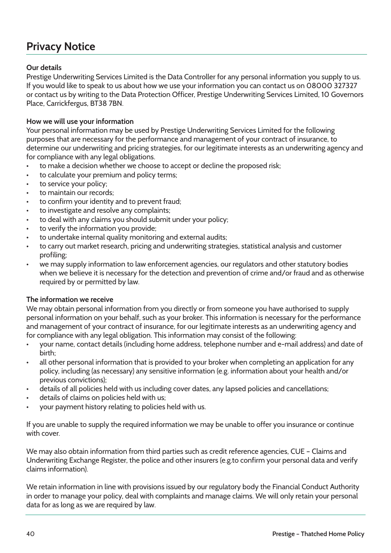## **Privacy Notice**

### **Our details**

Prestige Underwriting Services Limited is the Data Controller for any personal information you supply to us. If you would like to speak to us about how we use your information you can contact us on 08000 327327 or contact us by writing to the Data Protection Officer, Prestige Underwriting Services Limited, 10 Governors Place, Carrickfergus, BT38 7BN.

### **How we will use your information**

Your personal information may be used by Prestige Underwriting Services Limited for the following purposes that are necessary for the performance and management of your contract of insurance, to determine our underwriting and pricing strategies, for our legitimate interests as an underwriting agency and for compliance with any legal obligations.

- to make a decision whether we choose to accept or decline the proposed risk;
- to calculate your premium and policy terms;
- to service your policy:
- to maintain our records:
- to confirm your identity and to prevent fraud;
- to investigate and resolve any complaints;
- to deal with any claims you should submit under your policy;
- to verify the information you provide;
- to undertake internal quality monitoring and external audits;
- to carry out market research, pricing and underwriting strategies, statistical analysis and customer profiling;
- we may supply information to law enforcement agencies, our regulators and other statutory bodies when we believe it is necessary for the detection and prevention of crime and/or fraud and as otherwise required by or permitted by law.

### **The information we receive**

We may obtain personal information from you directly or from someone you have authorised to supply personal information on your behalf, such as your broker. This information is necessary for the performance and management of your contract of insurance, for our legitimate interests as an underwriting agency and for compliance with any legal obligation. This information may consist of the following:

- your name, contact details (including home address, telephone number and e-mail address) and date of birth;
- all other personal information that is provided to your broker when completing an application for any policy, including (as necessary) any sensitive information (e.g. information about your health and/or previous convictions);
- details of all policies held with us including cover dates, any lapsed policies and cancellations;
- details of claims on policies held with us;
- your payment history relating to policies held with us.

If you are unable to supply the required information we may be unable to offer you insurance or continue with cover.

We may also obtain information from third parties such as credit reference agencies, CUE – Claims and Underwriting Exchange Register, the police and other insurers (e.g.to confirm your personal data and verify claims information).

We retain information in line with provisions issued by our regulatory body the Financial Conduct Authority in order to manage your policy, deal with complaints and manage claims. We will only retain your personal data for as long as we are required by law.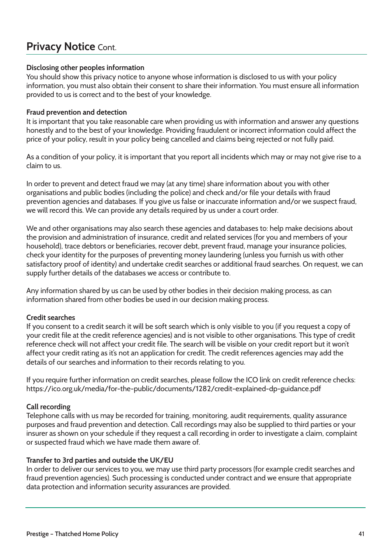## **Privacy Notice** Cont.

#### **Disclosing other peoples information**

You should show this privacy notice to anyone whose information is disclosed to us with your policy information, you must also obtain their consent to share their information. You must ensure all information provided to us is correct and to the best of your knowledge.

#### **Fraud prevention and detection**

It is important that you take reasonable care when providing us with information and answer any questions honestly and to the best of your knowledge. Providing fraudulent or incorrect information could affect the price of your policy, result in your policy being cancelled and claims being rejected or not fully paid.

As a condition of your policy, it is important that you report all incidents which may or may not give rise to a claim to us.

In order to prevent and detect fraud we may (at any time) share information about you with other organisations and public bodies (including the police) and check and/or file your details with fraud prevention agencies and databases. If you give us false or inaccurate information and/or we suspect fraud, we will record this. We can provide any details required by us under a court order.

We and other organisations may also search these agencies and databases to: help make decisions about the provision and administration of insurance, credit and related services (for you and members of your household), trace debtors or beneficiaries, recover debt, prevent fraud, manage your insurance policies, check your identity for the purposes of preventing money laundering (unless you furnish us with other satisfactory proof of identity) and undertake credit searches or additional fraud searches. On request, we can supply further details of the databases we access or contribute to.

Any information shared by us can be used by other bodies in their decision making process, as can information shared from other bodies be used in our decision making process.

### **Credit searches**

If you consent to a credit search it will be soft search which is only visible to you (if you request a copy of your credit file at the credit reference agencies) and is not visible to other organisations. This type of credit reference check will not affect your credit file. The search will be visible on your credit report but it won't affect your credit rating as it's not an application for credit. The credit references agencies may add the details of our searches and information to their records relating to you.

If you require further information on credit searches, please follow the ICO link on credit reference checks: https://ico.org.uk/media/for-the-public/documents/1282/credit-explained-dp-guidance.pdf

#### **Call recording**

Telephone calls with us may be recorded for training, monitoring, audit requirements, quality assurance purposes and fraud prevention and detection. Call recordings may also be supplied to third parties or your insurer as shown on your schedule if they request a call recording in order to investigate a claim, complaint or suspected fraud which we have made them aware of.

#### **Transfer to 3rd parties and outside the UK/EU**

In order to deliver our services to you, we may use third party processors (for example credit searches and fraud prevention agencies). Such processing is conducted under contract and we ensure that appropriate data protection and information security assurances are provided.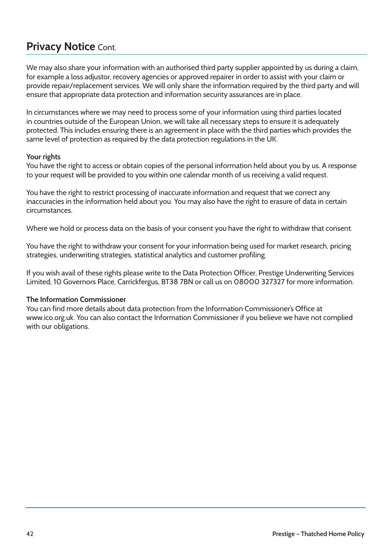## **Privacy Notice** Cont.

We may also share your information with an authorised third party supplier appointed by us during a claim, for example a loss adjustor, recovery agencies or approved repairer in order to assist with your claim or provide repair/replacement services. We will only share the information required by the third party and will ensure that appropriate data protection and information security assurances are in place.

In circumstances where we may need to process some of your information using third parties located in countries outside of the European Union, we will take all necessary steps to ensure it is adequately protected. This includes ensuring there is an agreement in place with the third parties which provides the same level of protection as required by the data protection regulations in the UK.

### **Your rights**

You have the right to access or obtain copies of the personal information held about you by us. A response to your request will be provided to you within one calendar month of us receiving a valid request.

You have the right to restrict processing of inaccurate information and request that we correct any inaccuracies in the information held about you. You may also have the right to erasure of data in certain circumstances.

Where we hold or process data on the basis of your consent you have the right to withdraw that consent.

You have the right to withdraw your consent for your information being used for market research, pricing strategies, underwriting strategies, statistical analytics and customer profiling.

If you wish avail of these rights please write to the Data Protection Officer, Prestige Underwriting Services Limited, 10 Governors Place, Carrickfergus, BT38 7BN or call us on 08000 327327 for more information.

### **The Information Commissioner**

You can find more details about data protection from the Information Commissioner's Office at www.ico.org.uk. You can also contact the Information Commissioner if you believe we have not complied with our obligations.